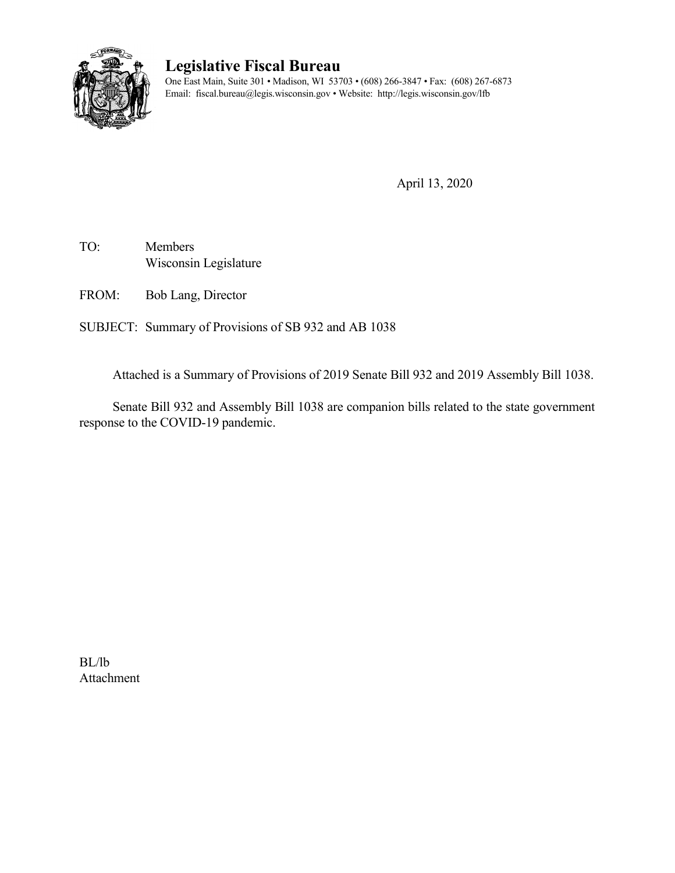

# **Legislative Fiscal Bureau**

One East Main, Suite 301 • Madison, WI 53703 • (608) 266-3847 • Fax: (608) 267-6873 Email: fiscal.bureau@legis.wisconsin.gov • Website:<http://legis.wisconsin.gov/lfb>

April 13, 2020

TO: Members Wisconsin Legislature

FROM: Bob Lang, Director

SUBJECT: Summary of Provisions of SB 932 and AB 1038

Attached is a Summary of Provisions of 2019 Senate Bill 932 and 2019 Assembly Bill 1038.

Senate Bill 932 and Assembly Bill 1038 are companion bills related to the state government response to the COVID-19 pandemic.

BL/lb Attachment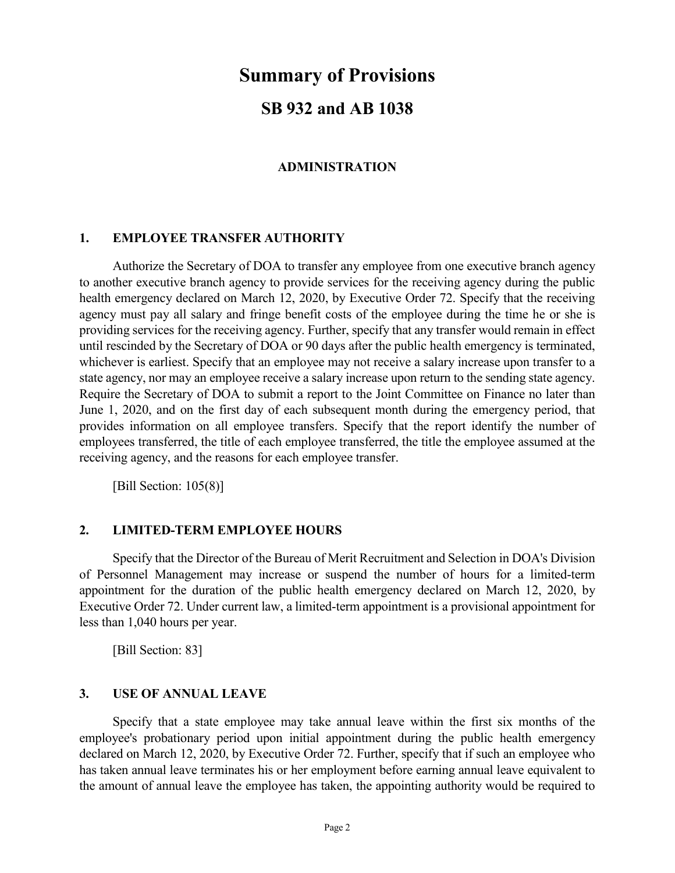# **Summary of Provisions**

## **SB 932 and AB 1038**

### **ADMINISTRATION**

### **1. EMPLOYEE TRANSFER AUTHORITY**

Authorize the Secretary of DOA to transfer any employee from one executive branch agency to another executive branch agency to provide services for the receiving agency during the public health emergency declared on March 12, 2020, by Executive Order 72. Specify that the receiving agency must pay all salary and fringe benefit costs of the employee during the time he or she is providing services for the receiving agency. Further, specify that any transfer would remain in effect until rescinded by the Secretary of DOA or 90 days after the public health emergency is terminated, whichever is earliest. Specify that an employee may not receive a salary increase upon transfer to a state agency, nor may an employee receive a salary increase upon return to the sending state agency. Require the Secretary of DOA to submit a report to the Joint Committee on Finance no later than June 1, 2020, and on the first day of each subsequent month during the emergency period, that provides information on all employee transfers. Specify that the report identify the number of employees transferred, the title of each employee transferred, the title the employee assumed at the receiving agency, and the reasons for each employee transfer.

[Bill Section: 105(8)]

### **2. LIMITED-TERM EMPLOYEE HOURS**

Specify that the Director of the Bureau of Merit Recruitment and Selection in DOA's Division of Personnel Management may increase or suspend the number of hours for a limited-term appointment for the duration of the public health emergency declared on March 12, 2020, by Executive Order 72. Under current law, a limited-term appointment is a provisional appointment for less than 1,040 hours per year.

[Bill Section: 83]

#### **3. USE OF ANNUAL LEAVE**

Specify that a state employee may take annual leave within the first six months of the employee's probationary period upon initial appointment during the public health emergency declared on March 12, 2020, by Executive Order 72. Further, specify that if such an employee who has taken annual leave terminates his or her employment before earning annual leave equivalent to the amount of annual leave the employee has taken, the appointing authority would be required to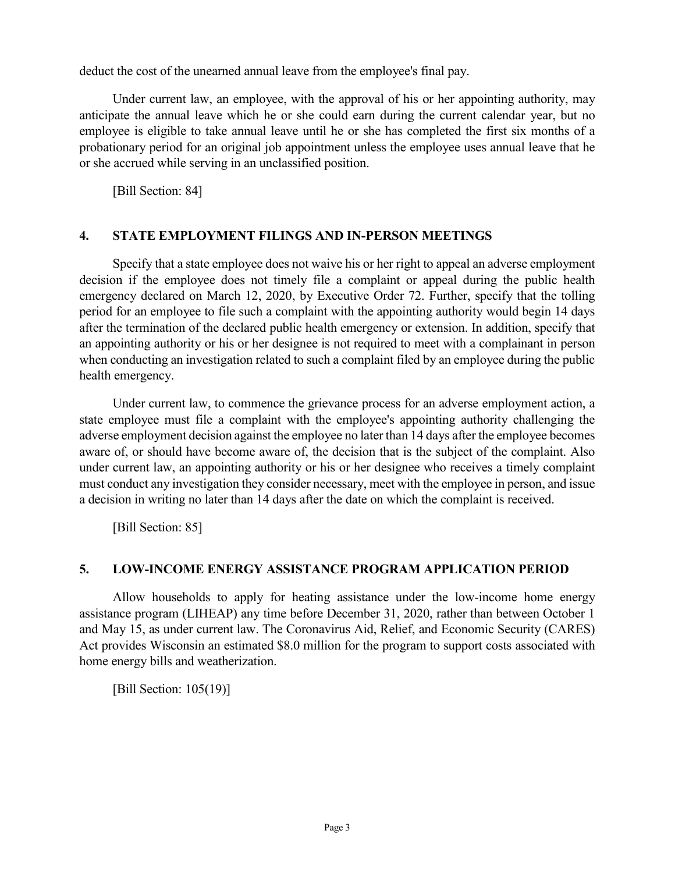deduct the cost of the unearned annual leave from the employee's final pay.

Under current law, an employee, with the approval of his or her appointing authority, may anticipate the annual leave which he or she could earn during the current calendar year, but no employee is eligible to take annual leave until he or she has completed the first six months of a probationary period for an original job appointment unless the employee uses annual leave that he or she accrued while serving in an unclassified position.

[Bill Section: 84]

### **4. STATE EMPLOYMENT FILINGS AND IN-PERSON MEETINGS**

Specify that a state employee does not waive his or her right to appeal an adverse employment decision if the employee does not timely file a complaint or appeal during the public health emergency declared on March 12, 2020, by Executive Order 72. Further, specify that the tolling period for an employee to file such a complaint with the appointing authority would begin 14 days after the termination of the declared public health emergency or extension. In addition, specify that an appointing authority or his or her designee is not required to meet with a complainant in person when conducting an investigation related to such a complaint filed by an employee during the public health emergency.

Under current law, to commence the grievance process for an adverse employment action, a state employee must file a complaint with the employee's appointing authority challenging the adverse employment decision against the employee no later than 14 days after the employee becomes aware of, or should have become aware of, the decision that is the subject of the complaint. Also under current law, an appointing authority or his or her designee who receives a timely complaint must conduct any investigation they consider necessary, meet with the employee in person, and issue a decision in writing no later than 14 days after the date on which the complaint is received.

[Bill Section: 85]

### **5. LOW-INCOME ENERGY ASSISTANCE PROGRAM APPLICATION PERIOD**

Allow households to apply for heating assistance under the low-income home energy assistance program (LIHEAP) any time before December 31, 2020, rather than between October 1 and May 15, as under current law. The Coronavirus Aid, Relief, and Economic Security (CARES) Act provides Wisconsin an estimated \$8.0 million for the program to support costs associated with home energy bills and weatherization.

[Bill Section: 105(19)]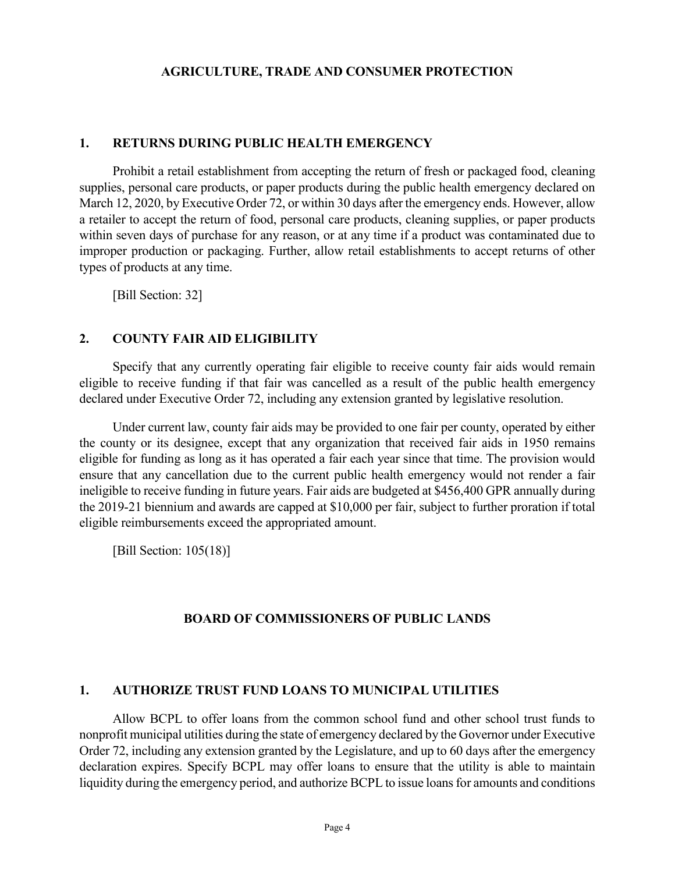#### **AGRICULTURE, TRADE AND CONSUMER PROTECTION**

#### **1. RETURNS DURING PUBLIC HEALTH EMERGENCY**

Prohibit a retail establishment from accepting the return of fresh or packaged food, cleaning supplies, personal care products, or paper products during the public health emergency declared on March 12, 2020, by Executive Order 72, or within 30 days after the emergency ends. However, allow a retailer to accept the return of food, personal care products, cleaning supplies, or paper products within seven days of purchase for any reason, or at any time if a product was contaminated due to improper production or packaging. Further, allow retail establishments to accept returns of other types of products at any time.

[Bill Section: 32]

#### **2. COUNTY FAIR AID ELIGIBILITY**

Specify that any currently operating fair eligible to receive county fair aids would remain eligible to receive funding if that fair was cancelled as a result of the public health emergency declared under Executive Order 72, including any extension granted by legislative resolution.

Under current law, county fair aids may be provided to one fair per county, operated by either the county or its designee, except that any organization that received fair aids in 1950 remains eligible for funding as long as it has operated a fair each year since that time. The provision would ensure that any cancellation due to the current public health emergency would not render a fair ineligible to receive funding in future years. Fair aids are budgeted at \$456,400 GPR annually during the 2019-21 biennium and awards are capped at \$10,000 per fair, subject to further proration if total eligible reimbursements exceed the appropriated amount.

[Bill Section: 105(18)]

#### **BOARD OF COMMISSIONERS OF PUBLIC LANDS**

#### **1. AUTHORIZE TRUST FUND LOANS TO MUNICIPAL UTILITIES**

Allow BCPL to offer loans from the common school fund and other school trust funds to nonprofit municipal utilities during the state of emergency declared by the Governor under Executive Order 72, including any extension granted by the Legislature, and up to 60 days after the emergency declaration expires. Specify BCPL may offer loans to ensure that the utility is able to maintain liquidity during the emergency period, and authorize BCPL to issue loans for amounts and conditions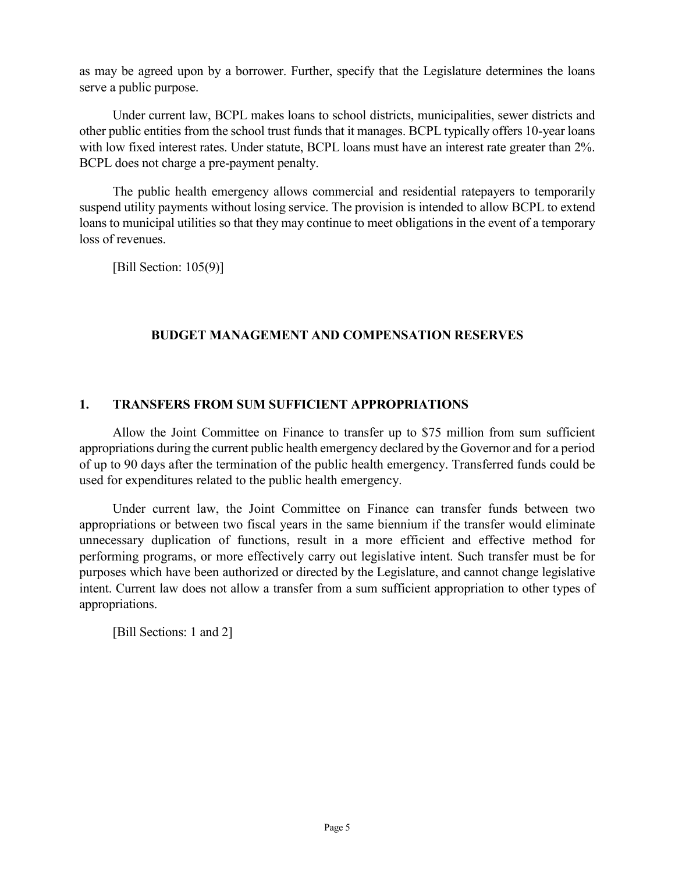as may be agreed upon by a borrower. Further, specify that the Legislature determines the loans serve a public purpose.

Under current law, BCPL makes loans to school districts, municipalities, sewer districts and other public entities from the school trust funds that it manages. BCPL typically offers 10-year loans with low fixed interest rates. Under statute, BCPL loans must have an interest rate greater than 2%. BCPL does not charge a pre-payment penalty.

The public health emergency allows commercial and residential ratepayers to temporarily suspend utility payments without losing service. The provision is intended to allow BCPL to extend loans to municipal utilities so that they may continue to meet obligations in the event of a temporary loss of revenues.

[Bill Section: 105(9)]

### **BUDGET MANAGEMENT AND COMPENSATION RESERVES**

### **1. TRANSFERS FROM SUM SUFFICIENT APPROPRIATIONS**

Allow the Joint Committee on Finance to transfer up to \$75 million from sum sufficient appropriations during the current public health emergency declared by the Governor and for a period of up to 90 days after the termination of the public health emergency. Transferred funds could be used for expenditures related to the public health emergency.

Under current law, the Joint Committee on Finance can transfer funds between two appropriations or between two fiscal years in the same biennium if the transfer would eliminate unnecessary duplication of functions, result in a more efficient and effective method for performing programs, or more effectively carry out legislative intent. Such transfer must be for purposes which have been authorized or directed by the Legislature, and cannot change legislative intent. Current law does not allow a transfer from a sum sufficient appropriation to other types of appropriations.

[Bill Sections: 1 and 2]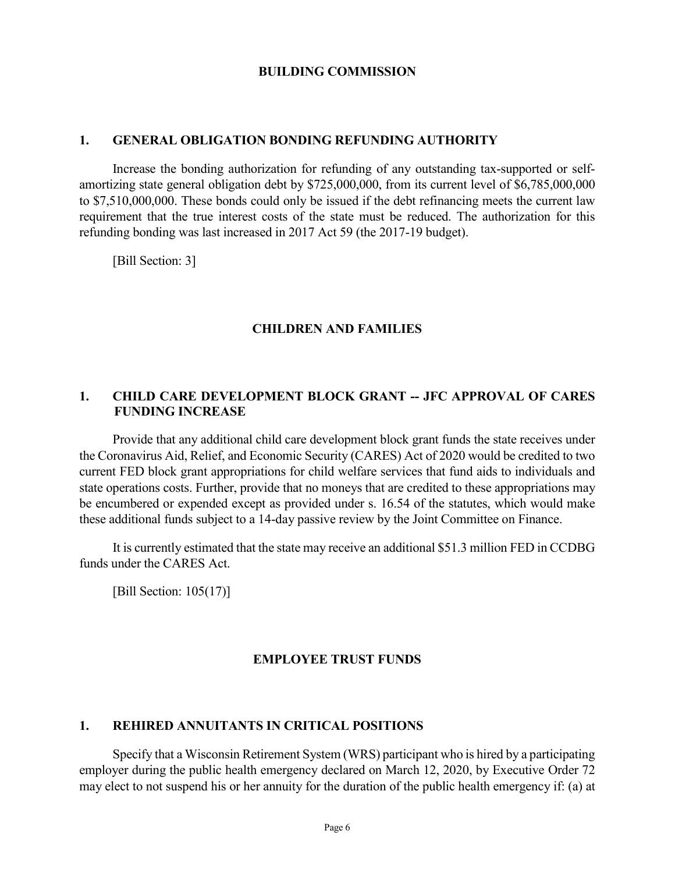#### **BUILDING COMMISSION**

#### **1. GENERAL OBLIGATION BONDING REFUNDING AUTHORITY**

Increase the bonding authorization for refunding of any outstanding tax-supported or selfamortizing state general obligation debt by \$725,000,000, from its current level of \$6,785,000,000 to \$7,510,000,000. These bonds could only be issued if the debt refinancing meets the current law requirement that the true interest costs of the state must be reduced. The authorization for this refunding bonding was last increased in 2017 Act 59 (the 2017-19 budget).

[Bill Section: 3]

#### **CHILDREN AND FAMILIES**

#### **1. CHILD CARE DEVELOPMENT BLOCK GRANT -- JFC APPROVAL OF CARES FUNDING INCREASE**

Provide that any additional child care development block grant funds the state receives under the Coronavirus Aid, Relief, and Economic Security (CARES) Act of 2020 would be credited to two current FED block grant appropriations for child welfare services that fund aids to individuals and state operations costs. Further, provide that no moneys that are credited to these appropriations may be encumbered or expended except as provided under s. 16.54 of the statutes, which would make these additional funds subject to a 14-day passive review by the Joint Committee on Finance.

It is currently estimated that the state may receive an additional \$51.3 million FED in CCDBG funds under the CARES Act.

[Bill Section: 105(17)]

#### **EMPLOYEE TRUST FUNDS**

#### **1. REHIRED ANNUITANTS IN CRITICAL POSITIONS**

Specify that a Wisconsin Retirement System (WRS) participant who is hired by a participating employer during the public health emergency declared on March 12, 2020, by Executive Order 72 may elect to not suspend his or her annuity for the duration of the public health emergency if: (a) at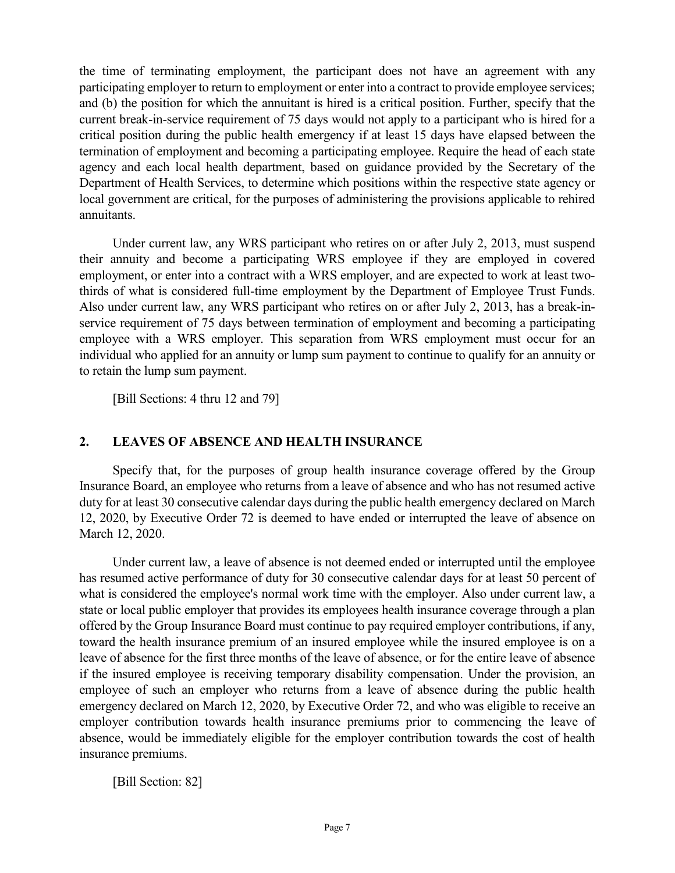the time of terminating employment, the participant does not have an agreement with any participating employer to return to employment or enter into a contract to provide employee services; and (b) the position for which the annuitant is hired is a critical position. Further, specify that the current break-in-service requirement of 75 days would not apply to a participant who is hired for a critical position during the public health emergency if at least 15 days have elapsed between the termination of employment and becoming a participating employee. Require the head of each state agency and each local health department, based on guidance provided by the Secretary of the Department of Health Services, to determine which positions within the respective state agency or local government are critical, for the purposes of administering the provisions applicable to rehired annuitants.

Under current law, any WRS participant who retires on or after July 2, 2013, must suspend their annuity and become a participating WRS employee if they are employed in covered employment, or enter into a contract with a WRS employer, and are expected to work at least twothirds of what is considered full-time employment by the Department of Employee Trust Funds. Also under current law, any WRS participant who retires on or after July 2, 2013, has a break-inservice requirement of 75 days between termination of employment and becoming a participating employee with a WRS employer. This separation from WRS employment must occur for an individual who applied for an annuity or lump sum payment to continue to qualify for an annuity or to retain the lump sum payment.

[Bill Sections: 4 thru 12 and 79]

### **2. LEAVES OF ABSENCE AND HEALTH INSURANCE**

Specify that, for the purposes of group health insurance coverage offered by the Group Insurance Board, an employee who returns from a leave of absence and who has not resumed active duty for at least 30 consecutive calendar days during the public health emergency declared on March 12, 2020, by Executive Order 72 is deemed to have ended or interrupted the leave of absence on March 12, 2020.

Under current law, a leave of absence is not deemed ended or interrupted until the employee has resumed active performance of duty for 30 consecutive calendar days for at least 50 percent of what is considered the employee's normal work time with the employer. Also under current law, a state or local public employer that provides its employees health insurance coverage through a plan offered by the Group Insurance Board must continue to pay required employer contributions, if any, toward the health insurance premium of an insured employee while the insured employee is on a leave of absence for the first three months of the leave of absence, or for the entire leave of absence if the insured employee is receiving temporary disability compensation. Under the provision, an employee of such an employer who returns from a leave of absence during the public health emergency declared on March 12, 2020, by Executive Order 72, and who was eligible to receive an employer contribution towards health insurance premiums prior to commencing the leave of absence, would be immediately eligible for the employer contribution towards the cost of health insurance premiums.

[Bill Section: 82]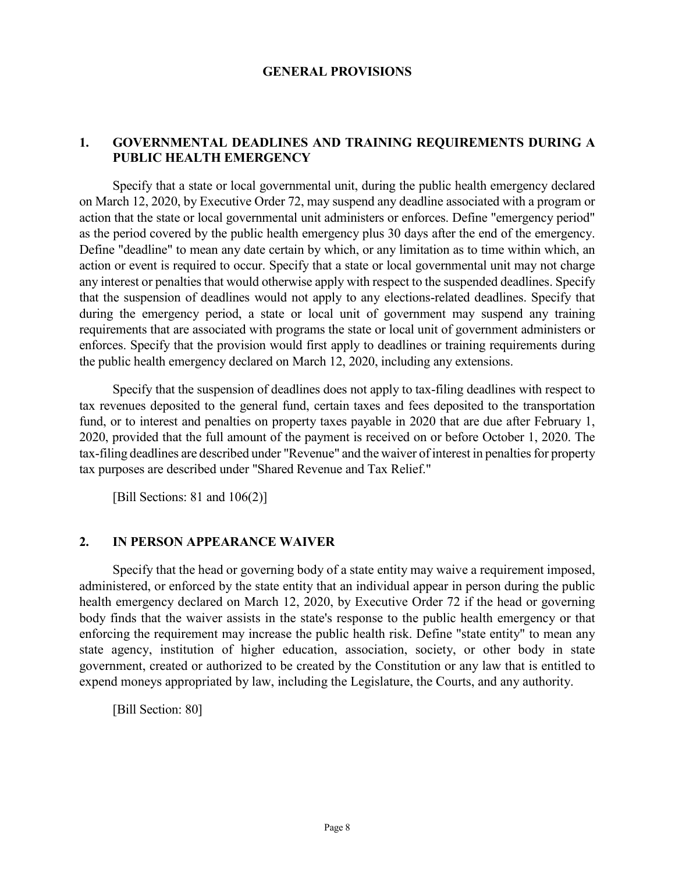#### **GENERAL PROVISIONS**

### **1. GOVERNMENTAL DEADLINES AND TRAINING REQUIREMENTS DURING A PUBLIC HEALTH EMERGENCY**

Specify that a state or local governmental unit, during the public health emergency declared on March 12, 2020, by Executive Order 72, may suspend any deadline associated with a program or action that the state or local governmental unit administers or enforces. Define "emergency period" as the period covered by the public health emergency plus 30 days after the end of the emergency. Define "deadline" to mean any date certain by which, or any limitation as to time within which, an action or event is required to occur. Specify that a state or local governmental unit may not charge any interest or penalties that would otherwise apply with respect to the suspended deadlines. Specify that the suspension of deadlines would not apply to any elections-related deadlines. Specify that during the emergency period, a state or local unit of government may suspend any training requirements that are associated with programs the state or local unit of government administers or enforces. Specify that the provision would first apply to deadlines or training requirements during the public health emergency declared on March 12, 2020, including any extensions.

Specify that the suspension of deadlines does not apply to tax-filing deadlines with respect to tax revenues deposited to the general fund, certain taxes and fees deposited to the transportation fund, or to interest and penalties on property taxes payable in 2020 that are due after February 1, 2020, provided that the full amount of the payment is received on or before October 1, 2020. The tax-filing deadlines are described under "Revenue" and the waiver of interest in penalties for property tax purposes are described under "Shared Revenue and Tax Relief."

[Bill Sections: 81 and 106(2)]

#### **2. IN PERSON APPEARANCE WAIVER**

Specify that the head or governing body of a state entity may waive a requirement imposed, administered, or enforced by the state entity that an individual appear in person during the public health emergency declared on March 12, 2020, by Executive Order 72 if the head or governing body finds that the waiver assists in the state's response to the public health emergency or that enforcing the requirement may increase the public health risk. Define "state entity" to mean any state agency, institution of higher education, association, society, or other body in state government, created or authorized to be created by the Constitution or any law that is entitled to expend moneys appropriated by law, including the Legislature, the Courts, and any authority.

[Bill Section: 80]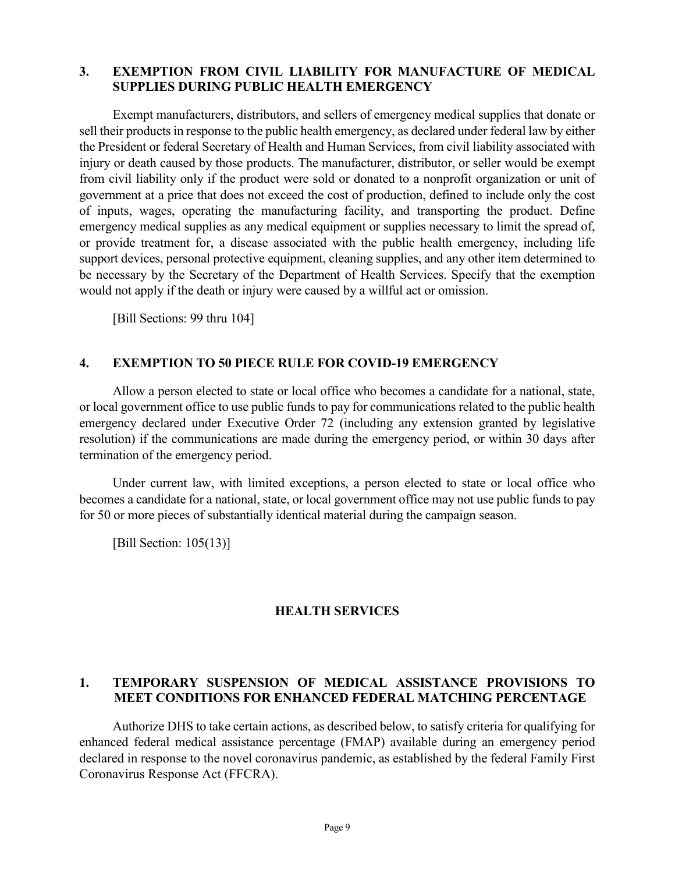#### **3. EXEMPTION FROM CIVIL LIABILITY FOR MANUFACTURE OF MEDICAL SUPPLIES DURING PUBLIC HEALTH EMERGENCY**

Exempt manufacturers, distributors, and sellers of emergency medical supplies that donate or sell their products in response to the public health emergency, as declared under federal law by either the President or federal Secretary of Health and Human Services, from civil liability associated with injury or death caused by those products. The manufacturer, distributor, or seller would be exempt from civil liability only if the product were sold or donated to a nonprofit organization or unit of government at a price that does not exceed the cost of production, defined to include only the cost of inputs, wages, operating the manufacturing facility, and transporting the product. Define emergency medical supplies as any medical equipment or supplies necessary to limit the spread of, or provide treatment for, a disease associated with the public health emergency, including life support devices, personal protective equipment, cleaning supplies, and any other item determined to be necessary by the Secretary of the Department of Health Services. Specify that the exemption would not apply if the death or injury were caused by a willful act or omission.

[Bill Sections: 99 thru 104]

#### **4. EXEMPTION TO 50 PIECE RULE FOR COVID-19 EMERGENCY**

Allow a person elected to state or local office who becomes a candidate for a national, state, or local government office to use public funds to pay for communications related to the public health emergency declared under Executive Order 72 (including any extension granted by legislative resolution) if the communications are made during the emergency period, or within 30 days after termination of the emergency period.

Under current law, with limited exceptions, a person elected to state or local office who becomes a candidate for a national, state, or local government office may not use public funds to pay for 50 or more pieces of substantially identical material during the campaign season.

[Bill Section: 105(13)]

#### **HEALTH SERVICES**

### **1. TEMPORARY SUSPENSION OF MEDICAL ASSISTANCE PROVISIONS TO MEET CONDITIONS FOR ENHANCED FEDERAL MATCHING PERCENTAGE**

Authorize DHS to take certain actions, as described below, to satisfy criteria for qualifying for enhanced federal medical assistance percentage (FMAP) available during an emergency period declared in response to the novel coronavirus pandemic, as established by the federal Family First Coronavirus Response Act (FFCRA).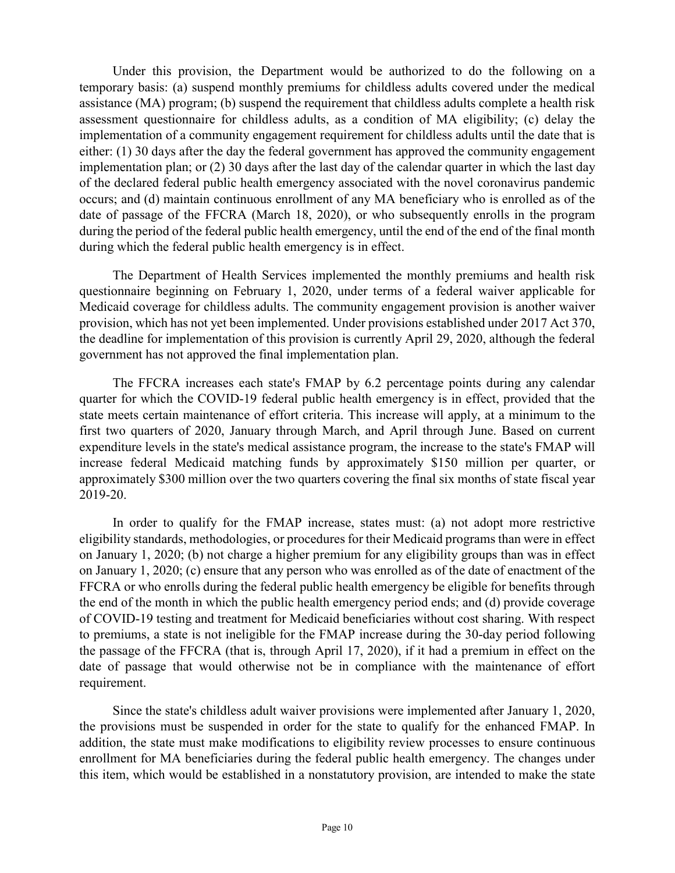Under this provision, the Department would be authorized to do the following on a temporary basis: (a) suspend monthly premiums for childless adults covered under the medical assistance (MA) program; (b) suspend the requirement that childless adults complete a health risk assessment questionnaire for childless adults, as a condition of MA eligibility; (c) delay the implementation of a community engagement requirement for childless adults until the date that is either: (1) 30 days after the day the federal government has approved the community engagement implementation plan; or (2) 30 days after the last day of the calendar quarter in which the last day of the declared federal public health emergency associated with the novel coronavirus pandemic occurs; and (d) maintain continuous enrollment of any MA beneficiary who is enrolled as of the date of passage of the FFCRA (March 18, 2020), or who subsequently enrolls in the program during the period of the federal public health emergency, until the end of the end of the final month during which the federal public health emergency is in effect.

The Department of Health Services implemented the monthly premiums and health risk questionnaire beginning on February 1, 2020, under terms of a federal waiver applicable for Medicaid coverage for childless adults. The community engagement provision is another waiver provision, which has not yet been implemented. Under provisions established under 2017 Act 370, the deadline for implementation of this provision is currently April 29, 2020, although the federal government has not approved the final implementation plan.

The FFCRA increases each state's FMAP by 6.2 percentage points during any calendar quarter for which the COVID-19 federal public health emergency is in effect, provided that the state meets certain maintenance of effort criteria. This increase will apply, at a minimum to the first two quarters of 2020, January through March, and April through June. Based on current expenditure levels in the state's medical assistance program, the increase to the state's FMAP will increase federal Medicaid matching funds by approximately \$150 million per quarter, or approximately \$300 million over the two quarters covering the final six months of state fiscal year 2019-20.

In order to qualify for the FMAP increase, states must: (a) not adopt more restrictive eligibility standards, methodologies, or procedures for their Medicaid programs than were in effect on January 1, 2020; (b) not charge a higher premium for any eligibility groups than was in effect on January 1, 2020; (c) ensure that any person who was enrolled as of the date of enactment of the FFCRA or who enrolls during the federal public health emergency be eligible for benefits through the end of the month in which the public health emergency period ends; and (d) provide coverage of COVID-19 testing and treatment for Medicaid beneficiaries without cost sharing. With respect to premiums, a state is not ineligible for the FMAP increase during the 30-day period following the passage of the FFCRA (that is, through April 17, 2020), if it had a premium in effect on the date of passage that would otherwise not be in compliance with the maintenance of effort requirement.

Since the state's childless adult waiver provisions were implemented after January 1, 2020, the provisions must be suspended in order for the state to qualify for the enhanced FMAP. In addition, the state must make modifications to eligibility review processes to ensure continuous enrollment for MA beneficiaries during the federal public health emergency. The changes under this item, which would be established in a nonstatutory provision, are intended to make the state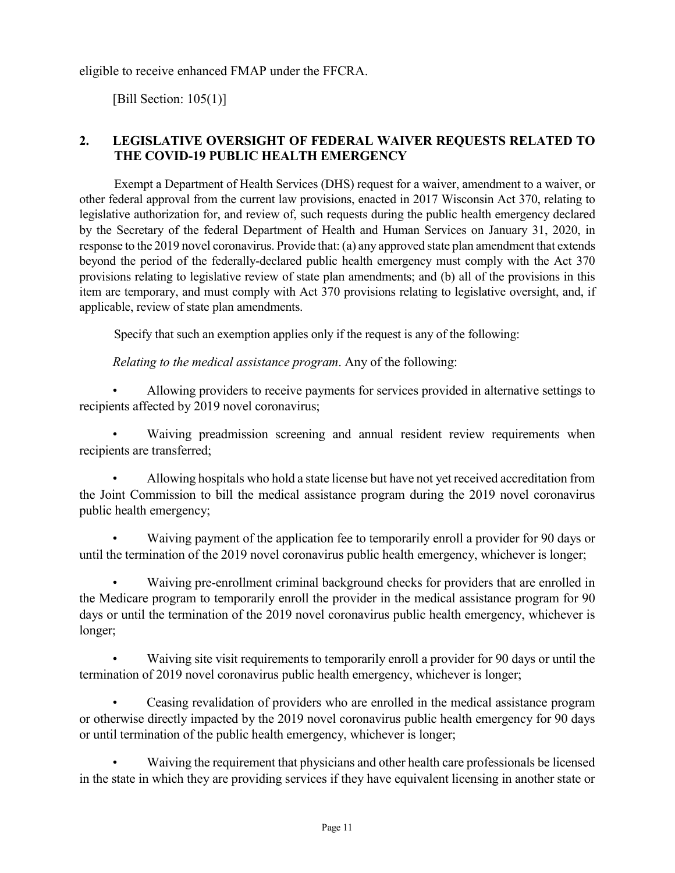eligible to receive enhanced FMAP under the FFCRA.

[Bill Section: 105(1)]

### **2. LEGISLATIVE OVERSIGHT OF FEDERAL WAIVER REQUESTS RELATED TO THE COVID-19 PUBLIC HEALTH EMERGENCY**

Exempt a Department of Health Services (DHS) request for a waiver, amendment to a waiver, or other federal approval from the current law provisions, enacted in 2017 Wisconsin Act 370, relating to legislative authorization for, and review of, such requests during the public health emergency declared by the Secretary of the federal Department of Health and Human Services on January 31, 2020, in response to the 2019 novel coronavirus. Provide that: (a) any approved state plan amendment that extends beyond the period of the federally-declared public health emergency must comply with the Act 370 provisions relating to legislative review of state plan amendments; and (b) all of the provisions in this item are temporary, and must comply with Act 370 provisions relating to legislative oversight, and, if applicable, review of state plan amendments.

Specify that such an exemption applies only if the request is any of the following:

*Relating to the medical assistance program*. Any of the following:

• Allowing providers to receive payments for services provided in alternative settings to recipients affected by 2019 novel coronavirus;

Waiving preadmission screening and annual resident review requirements when recipients are transferred;

• Allowing hospitals who hold a state license but have not yet received accreditation from the Joint Commission to bill the medical assistance program during the 2019 novel coronavirus public health emergency;

• Waiving payment of the application fee to temporarily enroll a provider for 90 days or until the termination of the 2019 novel coronavirus public health emergency, whichever is longer;

• Waiving pre-enrollment criminal background checks for providers that are enrolled in the Medicare program to temporarily enroll the provider in the medical assistance program for 90 days or until the termination of the 2019 novel coronavirus public health emergency, whichever is longer;

• Waiving site visit requirements to temporarily enroll a provider for 90 days or until the termination of 2019 novel coronavirus public health emergency, whichever is longer;

• Ceasing revalidation of providers who are enrolled in the medical assistance program or otherwise directly impacted by the 2019 novel coronavirus public health emergency for 90 days or until termination of the public health emergency, whichever is longer;

• Waiving the requirement that physicians and other health care professionals be licensed in the state in which they are providing services if they have equivalent licensing in another state or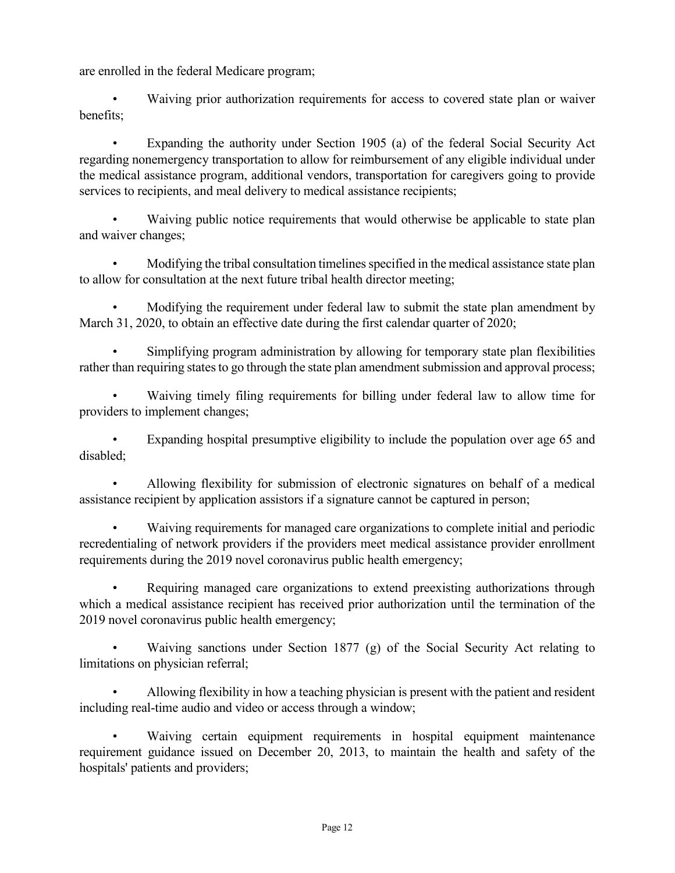are enrolled in the federal Medicare program;

• Waiving prior authorization requirements for access to covered state plan or waiver benefits;

Expanding the authority under Section 1905 (a) of the federal Social Security Act regarding nonemergency transportation to allow for reimbursement of any eligible individual under the medical assistance program, additional vendors, transportation for caregivers going to provide services to recipients, and meal delivery to medical assistance recipients;

Waiving public notice requirements that would otherwise be applicable to state plan and waiver changes;

• Modifying the tribal consultation timelines specified in the medical assistance state plan to allow for consultation at the next future tribal health director meeting;

• Modifying the requirement under federal law to submit the state plan amendment by March 31, 2020, to obtain an effective date during the first calendar quarter of 2020;

• Simplifying program administration by allowing for temporary state plan flexibilities rather than requiring states to go through the state plan amendment submission and approval process;

• Waiving timely filing requirements for billing under federal law to allow time for providers to implement changes;

Expanding hospital presumptive eligibility to include the population over age 65 and disabled;

• Allowing flexibility for submission of electronic signatures on behalf of a medical assistance recipient by application assistors if a signature cannot be captured in person;

• Waiving requirements for managed care organizations to complete initial and periodic recredentialing of network providers if the providers meet medical assistance provider enrollment requirements during the 2019 novel coronavirus public health emergency;

Requiring managed care organizations to extend preexisting authorizations through which a medical assistance recipient has received prior authorization until the termination of the 2019 novel coronavirus public health emergency;

• Waiving sanctions under Section 1877 (g) of the Social Security Act relating to limitations on physician referral;

• Allowing flexibility in how a teaching physician is present with the patient and resident including real-time audio and video or access through a window;

Waiving certain equipment requirements in hospital equipment maintenance requirement guidance issued on December 20, 2013, to maintain the health and safety of the hospitals' patients and providers;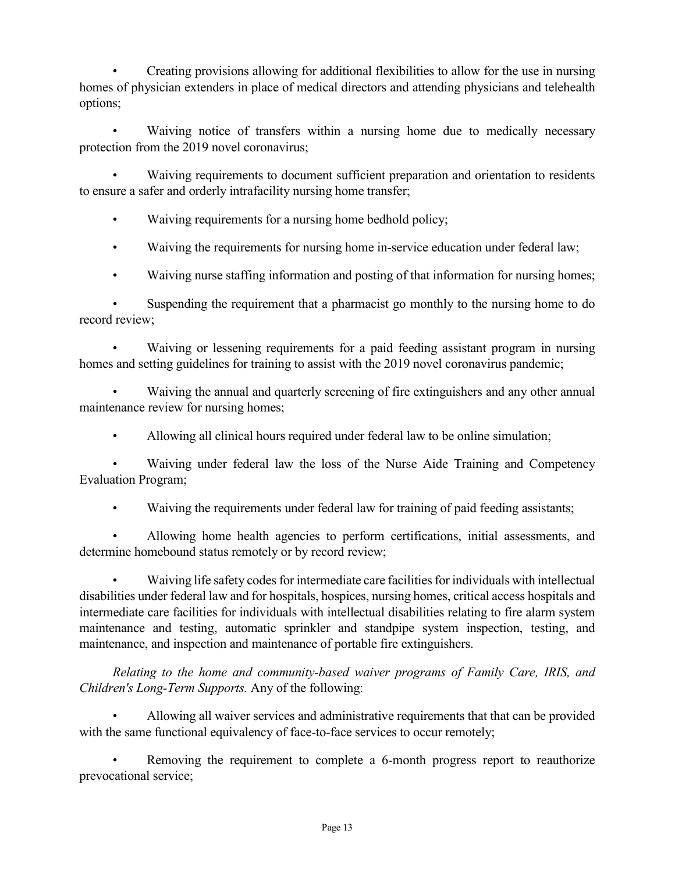• Creating provisions allowing for additional flexibilities to allow for the use in nursing homes of physician extenders in place of medical directors and attending physicians and telehealth options;

Waiving notice of transfers within a nursing home due to medically necessary protection from the 2019 novel coronavirus;

Waiving requirements to document sufficient preparation and orientation to residents to ensure a safer and orderly intrafacility nursing home transfer;

• Waiving requirements for a nursing home bedhold policy;

- Waiving the requirements for nursing home in-service education under federal law;
- Waiving nurse staffing information and posting of that information for nursing homes;

Suspending the requirement that a pharmacist go monthly to the nursing home to do record review;

• Waiving or lessening requirements for a paid feeding assistant program in nursing homes and setting guidelines for training to assist with the 2019 novel coronavirus pandemic;

Waiving the annual and quarterly screening of fire extinguishers and any other annual maintenance review for nursing homes;

Allowing all clinical hours required under federal law to be online simulation;

• Waiving under federal law the loss of the Nurse Aide Training and Competency Evaluation Program;

• Waiving the requirements under federal law for training of paid feeding assistants;

• Allowing home health agencies to perform certifications, initial assessments, and determine homebound status remotely or by record review;

• Waiving life safety codes for intermediate care facilities for individuals with intellectual disabilities under federal law and for hospitals, hospices, nursing homes, critical access hospitals and intermediate care facilities for individuals with intellectual disabilities relating to fire alarm system maintenance and testing, automatic sprinkler and standpipe system inspection, testing, and maintenance, and inspection and maintenance of portable fire extinguishers.

*Relating to the home and community-based waiver programs of Family Care, IRIS, and Children's Long-Term Supports.* Any of the following:

• Allowing all waiver services and administrative requirements that that can be provided with the same functional equivalency of face-to-face services to occur remotely;

Removing the requirement to complete a 6-month progress report to reauthorize prevocational service;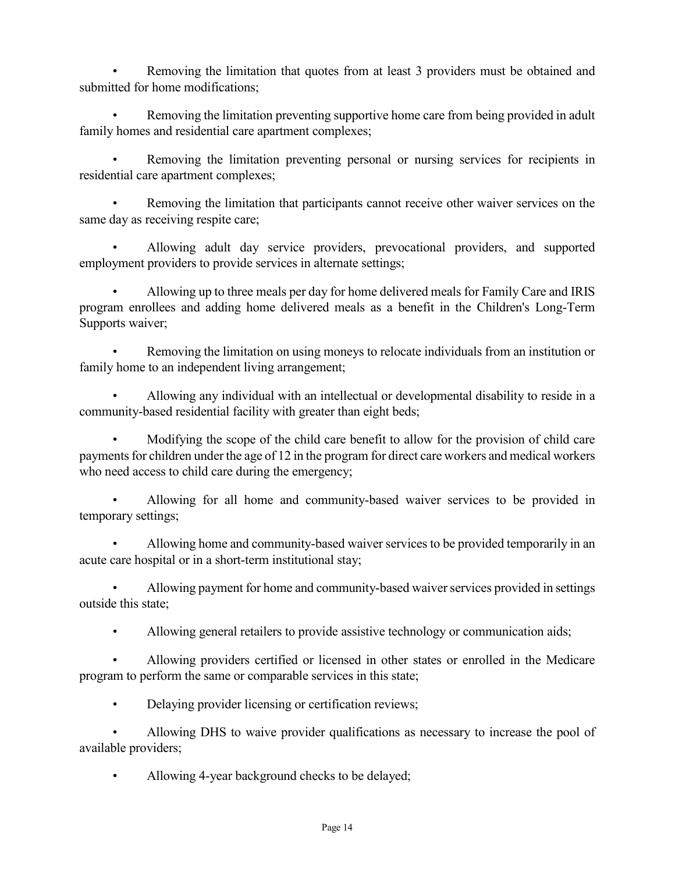Removing the limitation that quotes from at least 3 providers must be obtained and submitted for home modifications;

• Removing the limitation preventing supportive home care from being provided in adult family homes and residential care apartment complexes;

• Removing the limitation preventing personal or nursing services for recipients in residential care apartment complexes;

Removing the limitation that participants cannot receive other waiver services on the same day as receiving respite care;

• Allowing adult day service providers, prevocational providers, and supported employment providers to provide services in alternate settings;

• Allowing up to three meals per day for home delivered meals for Family Care and IRIS program enrollees and adding home delivered meals as a benefit in the Children's Long-Term Supports waiver;

• Removing the limitation on using moneys to relocate individuals from an institution or family home to an independent living arrangement;

• Allowing any individual with an intellectual or developmental disability to reside in a community-based residential facility with greater than eight beds;

• Modifying the scope of the child care benefit to allow for the provision of child care payments for children under the age of 12 in the program for direct care workers and medical workers who need access to child care during the emergency;

• Allowing for all home and community-based waiver services to be provided in temporary settings;

• Allowing home and community-based waiver services to be provided temporarily in an acute care hospital or in a short-term institutional stay;

• Allowing payment for home and community-based waiver services provided in settings outside this state;

• Allowing general retailers to provide assistive technology or communication aids;

• Allowing providers certified or licensed in other states or enrolled in the Medicare program to perform the same or comparable services in this state;

• Delaying provider licensing or certification reviews;

Allowing DHS to waive provider qualifications as necessary to increase the pool of available providers;

• Allowing 4-year background checks to be delayed;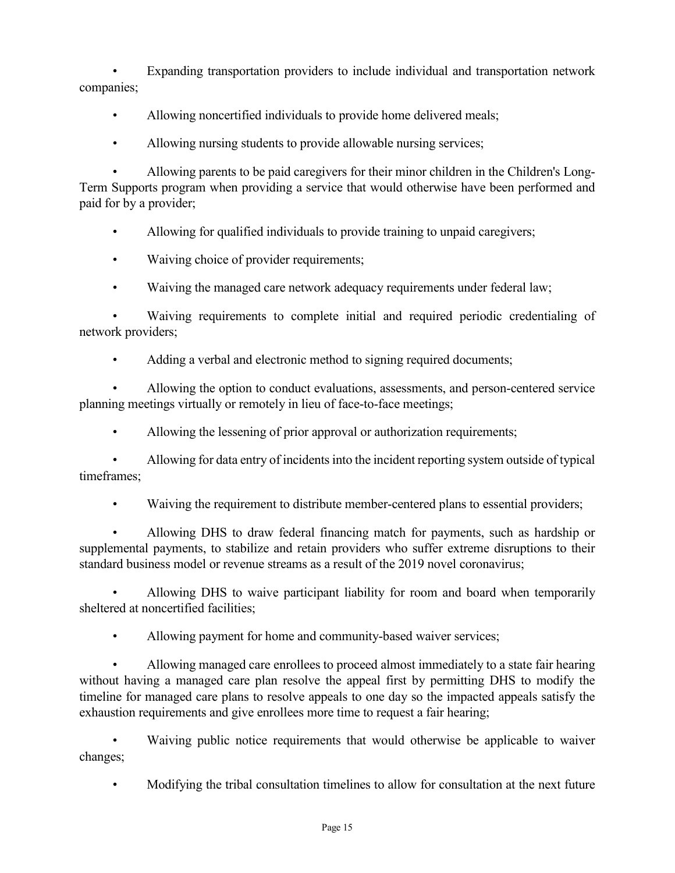• Expanding transportation providers to include individual and transportation network companies;

- Allowing noncertified individuals to provide home delivered meals;
- Allowing nursing students to provide allowable nursing services;

• Allowing parents to be paid caregivers for their minor children in the Children's Long-Term Supports program when providing a service that would otherwise have been performed and paid for by a provider;

• Allowing for qualified individuals to provide training to unpaid caregivers;

- Waiving choice of provider requirements;
- Waiving the managed care network adequacy requirements under federal law;

• Waiving requirements to complete initial and required periodic credentialing of network providers;

Adding a verbal and electronic method to signing required documents;

• Allowing the option to conduct evaluations, assessments, and person-centered service planning meetings virtually or remotely in lieu of face-to-face meetings;

Allowing the lessening of prior approval or authorization requirements;

• Allowing for data entry of incidents into the incident reporting system outside of typical timeframes;

• Waiving the requirement to distribute member-centered plans to essential providers;

• Allowing DHS to draw federal financing match for payments, such as hardship or supplemental payments, to stabilize and retain providers who suffer extreme disruptions to their standard business model or revenue streams as a result of the 2019 novel coronavirus;

Allowing DHS to waive participant liability for room and board when temporarily sheltered at noncertified facilities;

• Allowing payment for home and community-based waiver services;

• Allowing managed care enrollees to proceed almost immediately to a state fair hearing without having a managed care plan resolve the appeal first by permitting DHS to modify the timeline for managed care plans to resolve appeals to one day so the impacted appeals satisfy the exhaustion requirements and give enrollees more time to request a fair hearing;

Waiving public notice requirements that would otherwise be applicable to waiver changes;

• Modifying the tribal consultation timelines to allow for consultation at the next future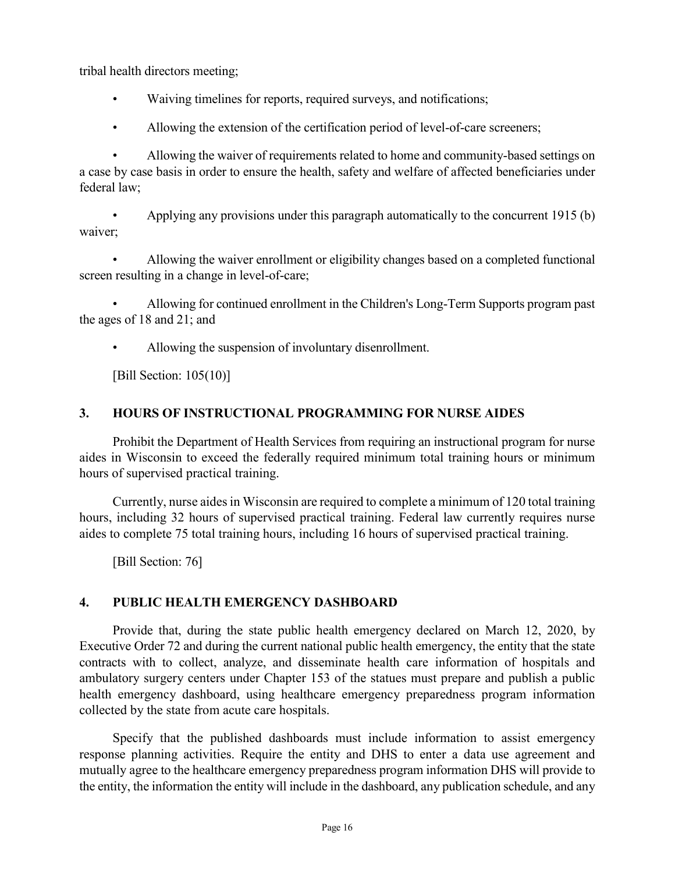tribal health directors meeting;

- Waiving timelines for reports, required surveys, and notifications;
- Allowing the extension of the certification period of level-of-care screeners;

• Allowing the waiver of requirements related to home and community-based settings on a case by case basis in order to ensure the health, safety and welfare of affected beneficiaries under federal law;

• Applying any provisions under this paragraph automatically to the concurrent 1915 (b) waiver;

• Allowing the waiver enrollment or eligibility changes based on a completed functional screen resulting in a change in level-of-care;

• Allowing for continued enrollment in the Children's Long-Term Supports program past the ages of 18 and 21; and

Allowing the suspension of involuntary disenrollment.

[Bill Section: 105(10)]

### **3. HOURS OF INSTRUCTIONAL PROGRAMMING FOR NURSE AIDES**

Prohibit the Department of Health Services from requiring an instructional program for nurse aides in Wisconsin to exceed the federally required minimum total training hours or minimum hours of supervised practical training.

Currently, nurse aides in Wisconsin are required to complete a minimum of 120 total training hours, including 32 hours of supervised practical training. Federal law currently requires nurse aides to complete 75 total training hours, including 16 hours of supervised practical training.

[Bill Section: 76]

### **4. PUBLIC HEALTH EMERGENCY DASHBOARD**

Provide that, during the state public health emergency declared on March 12, 2020, by Executive Order 72 and during the current national public health emergency, the entity that the state contracts with to collect, analyze, and disseminate health care information of hospitals and ambulatory surgery centers under Chapter 153 of the statues must prepare and publish a public health emergency dashboard, using healthcare emergency preparedness program information collected by the state from acute care hospitals.

Specify that the published dashboards must include information to assist emergency response planning activities. Require the entity and DHS to enter a data use agreement and mutually agree to the healthcare emergency preparedness program information DHS will provide to the entity, the information the entity will include in the dashboard, any publication schedule, and any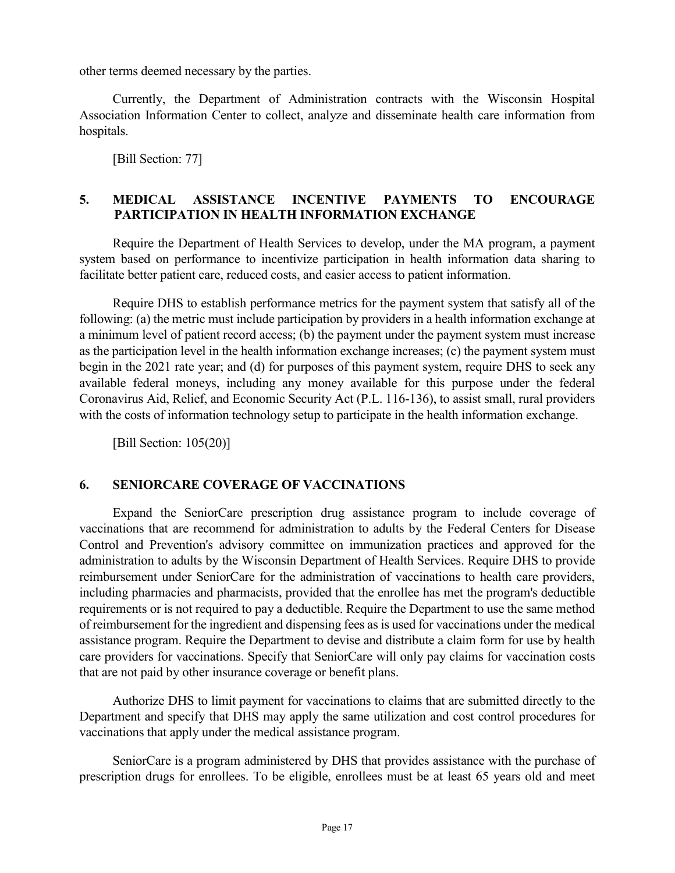other terms deemed necessary by the parties.

Currently, the Department of Administration contracts with the Wisconsin Hospital Association Information Center to collect, analyze and disseminate health care information from hospitals.

[Bill Section: 77]

### **5. MEDICAL ASSISTANCE INCENTIVE PAYMENTS TO ENCOURAGE PARTICIPATION IN HEALTH INFORMATION EXCHANGE**

Require the Department of Health Services to develop, under the MA program, a payment system based on performance to incentivize participation in health information data sharing to facilitate better patient care, reduced costs, and easier access to patient information.

Require DHS to establish performance metrics for the payment system that satisfy all of the following: (a) the metric must include participation by providers in a health information exchange at a minimum level of patient record access; (b) the payment under the payment system must increase as the participation level in the health information exchange increases; (c) the payment system must begin in the 2021 rate year; and (d) for purposes of this payment system, require DHS to seek any available federal moneys, including any money available for this purpose under the federal Coronavirus Aid, Relief, and Economic Security Act (P.L. 116-136), to assist small, rural providers with the costs of information technology setup to participate in the health information exchange.

[Bill Section: 105(20)]

### **6. SENIORCARE COVERAGE OF VACCINATIONS**

Expand the SeniorCare prescription drug assistance program to include coverage of vaccinations that are recommend for administration to adults by the Federal Centers for Disease Control and Prevention's advisory committee on immunization practices and approved for the administration to adults by the Wisconsin Department of Health Services. Require DHS to provide reimbursement under SeniorCare for the administration of vaccinations to health care providers, including pharmacies and pharmacists, provided that the enrollee has met the program's deductible requirements or is not required to pay a deductible. Require the Department to use the same method of reimbursement for the ingredient and dispensing fees as is used for vaccinations under the medical assistance program. Require the Department to devise and distribute a claim form for use by health care providers for vaccinations. Specify that SeniorCare will only pay claims for vaccination costs that are not paid by other insurance coverage or benefit plans.

Authorize DHS to limit payment for vaccinations to claims that are submitted directly to the Department and specify that DHS may apply the same utilization and cost control procedures for vaccinations that apply under the medical assistance program.

SeniorCare is a program administered by DHS that provides assistance with the purchase of prescription drugs for enrollees. To be eligible, enrollees must be at least 65 years old and meet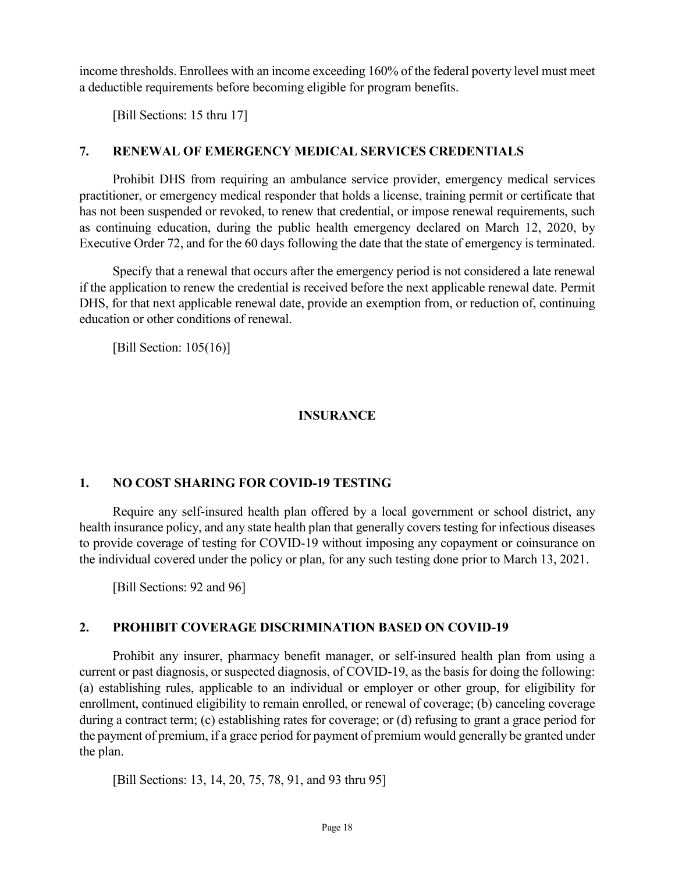income thresholds. Enrollees with an income exceeding 160% of the federal poverty level must meet a deductible requirements before becoming eligible for program benefits.

[Bill Sections: 15 thru 17]

### **7. RENEWAL OF EMERGENCY MEDICAL SERVICES CREDENTIALS**

Prohibit DHS from requiring an ambulance service provider, emergency medical services practitioner, or emergency medical responder that holds a license, training permit or certificate that has not been suspended or revoked, to renew that credential, or impose renewal requirements, such as continuing education, during the public health emergency declared on March 12, 2020, by Executive Order 72, and for the 60 days following the date that the state of emergency is terminated.

Specify that a renewal that occurs after the emergency period is not considered a late renewal if the application to renew the credential is received before the next applicable renewal date. Permit DHS, for that next applicable renewal date, provide an exemption from, or reduction of, continuing education or other conditions of renewal.

[Bill Section: 105(16)]

### **INSURANCE**

### **1. NO COST SHARING FOR COVID-19 TESTING**

Require any self-insured health plan offered by a local government or school district, any health insurance policy, and any state health plan that generally covers testing for infectious diseases to provide coverage of testing for COVID-19 without imposing any copayment or coinsurance on the individual covered under the policy or plan, for any such testing done prior to March 13, 2021.

[Bill Sections: 92 and 96]

### **2. PROHIBIT COVERAGE DISCRIMINATION BASED ON COVID-19**

Prohibit any insurer, pharmacy benefit manager, or self-insured health plan from using a current or past diagnosis, or suspected diagnosis, of COVID-19, as the basis for doing the following: (a) establishing rules, applicable to an individual or employer or other group, for eligibility for enrollment, continued eligibility to remain enrolled, or renewal of coverage; (b) canceling coverage during a contract term; (c) establishing rates for coverage; or (d) refusing to grant a grace period for the payment of premium, if a grace period for payment of premium would generally be granted under the plan.

[Bill Sections: 13, 14, 20, 75, 78, 91, and 93 thru 95]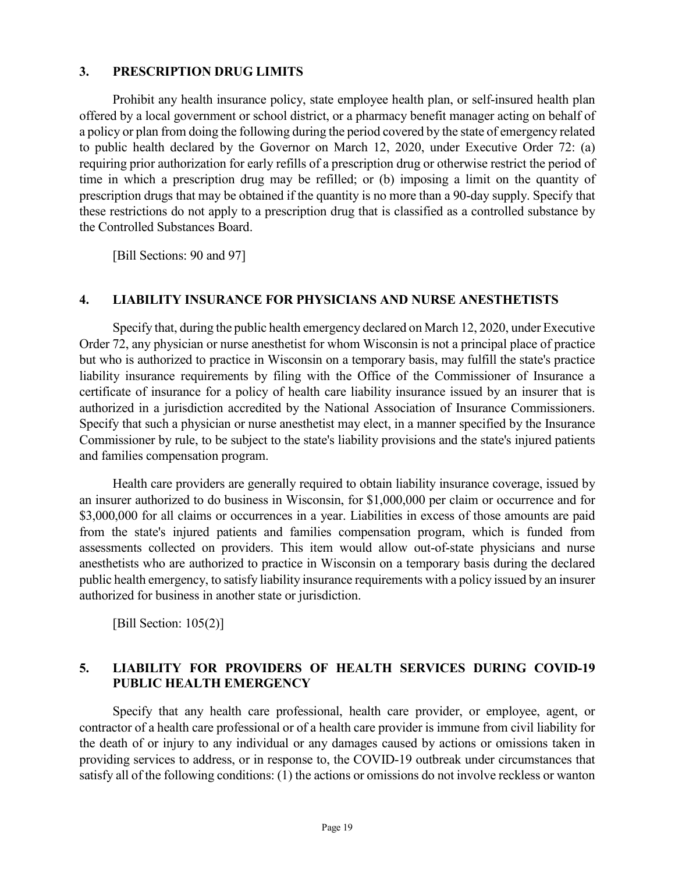#### **3. PRESCRIPTION DRUG LIMITS**

Prohibit any health insurance policy, state employee health plan, or self-insured health plan offered by a local government or school district, or a pharmacy benefit manager acting on behalf of a policy or plan from doing the following during the period covered by the state of emergency related to public health declared by the Governor on March 12, 2020, under Executive Order 72: (a) requiring prior authorization for early refills of a prescription drug or otherwise restrict the period of time in which a prescription drug may be refilled; or (b) imposing a limit on the quantity of prescription drugs that may be obtained if the quantity is no more than a 90-day supply. Specify that these restrictions do not apply to a prescription drug that is classified as a controlled substance by the Controlled Substances Board.

[Bill Sections: 90 and 97]

#### **4. LIABILITY INSURANCE FOR PHYSICIANS AND NURSE ANESTHETISTS**

Specify that, during the public health emergency declared on March 12, 2020, under Executive Order 72, any physician or nurse anesthetist for whom Wisconsin is not a principal place of practice but who is authorized to practice in Wisconsin on a temporary basis, may fulfill the state's practice liability insurance requirements by filing with the Office of the Commissioner of Insurance a certificate of insurance for a policy of health care liability insurance issued by an insurer that is authorized in a jurisdiction accredited by the National Association of Insurance Commissioners. Specify that such a physician or nurse anesthetist may elect, in a manner specified by the Insurance Commissioner by rule, to be subject to the state's liability provisions and the state's injured patients and families compensation program.

Health care providers are generally required to obtain liability insurance coverage, issued by an insurer authorized to do business in Wisconsin, for \$1,000,000 per claim or occurrence and for \$3,000,000 for all claims or occurrences in a year. Liabilities in excess of those amounts are paid from the state's injured patients and families compensation program, which is funded from assessments collected on providers. This item would allow out-of-state physicians and nurse anesthetists who are authorized to practice in Wisconsin on a temporary basis during the declared public health emergency, to satisfy liability insurance requirements with a policy issued by an insurer authorized for business in another state or jurisdiction.

[Bill Section: 105(2)]

### **5. LIABILITY FOR PROVIDERS OF HEALTH SERVICES DURING COVID-19 PUBLIC HEALTH EMERGENCY**

Specify that any health care professional, health care provider, or employee, agent, or contractor of a health care professional or of a health care provider is immune from civil liability for the death of or injury to any individual or any damages caused by actions or omissions taken in providing services to address, or in response to, the COVID-19 outbreak under circumstances that satisfy all of the following conditions: (1) the actions or omissions do not involve reckless or wanton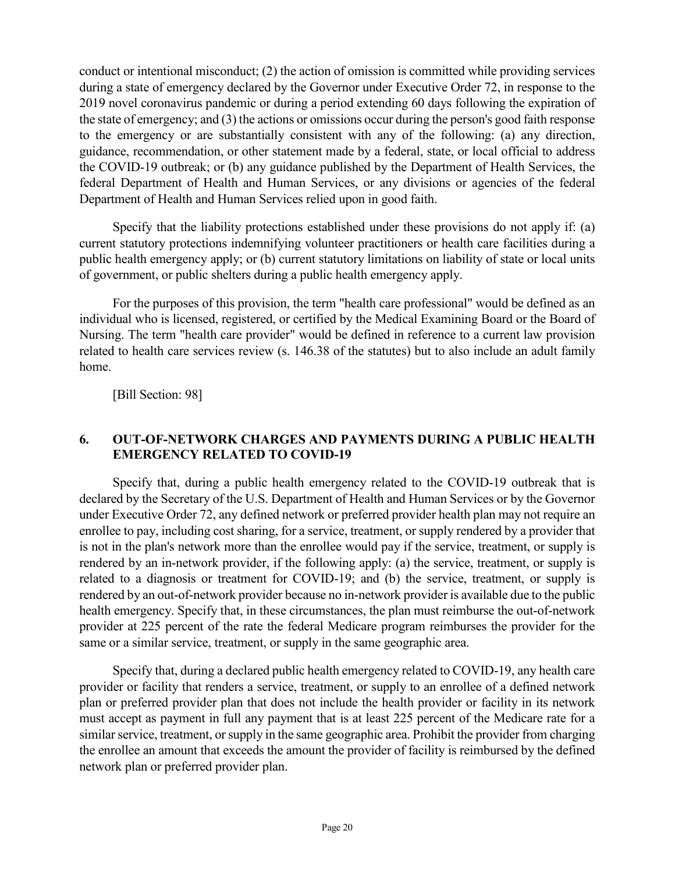conduct or intentional misconduct; (2) the action of omission is committed while providing services during a state of emergency declared by the Governor under Executive Order 72, in response to the 2019 novel coronavirus pandemic or during a period extending 60 days following the expiration of the state of emergency; and (3) the actions or omissions occur during the person's good faith response to the emergency or are substantially consistent with any of the following: (a) any direction, guidance, recommendation, or other statement made by a federal, state, or local official to address the COVID-19 outbreak; or (b) any guidance published by the Department of Health Services, the federal Department of Health and Human Services, or any divisions or agencies of the federal Department of Health and Human Services relied upon in good faith.

Specify that the liability protections established under these provisions do not apply if: (a) current statutory protections indemnifying volunteer practitioners or health care facilities during a public health emergency apply; or (b) current statutory limitations on liability of state or local units of government, or public shelters during a public health emergency apply.

For the purposes of this provision, the term "health care professional" would be defined as an individual who is licensed, registered, or certified by the Medical Examining Board or the Board of Nursing. The term "health care provider" would be defined in reference to a current law provision related to health care services review (s. 146.38 of the statutes) but to also include an adult family home.

[Bill Section: 98]

### **6. OUT-OF-NETWORK CHARGES AND PAYMENTS DURING A PUBLIC HEALTH EMERGENCY RELATED TO COVID-19**

Specify that, during a public health emergency related to the COVID-19 outbreak that is declared by the Secretary of the U.S. Department of Health and Human Services or by the Governor under Executive Order 72, any defined network or preferred provider health plan may not require an enrollee to pay, including cost sharing, for a service, treatment, or supply rendered by a provider that is not in the plan's network more than the enrollee would pay if the service, treatment, or supply is rendered by an in-network provider, if the following apply: (a) the service, treatment, or supply is related to a diagnosis or treatment for COVID-19; and (b) the service, treatment, or supply is rendered by an out-of-network provider because no in-network provider is available due to the public health emergency. Specify that, in these circumstances, the plan must reimburse the out-of-network provider at 225 percent of the rate the federal Medicare program reimburses the provider for the same or a similar service, treatment, or supply in the same geographic area.

Specify that, during a declared public health emergency related to COVID-19, any health care provider or facility that renders a service, treatment, or supply to an enrollee of a defined network plan or preferred provider plan that does not include the health provider or facility in its network must accept as payment in full any payment that is at least 225 percent of the Medicare rate for a similar service, treatment, or supply in the same geographic area. Prohibit the provider from charging the enrollee an amount that exceeds the amount the provider of facility is reimbursed by the defined network plan or preferred provider plan.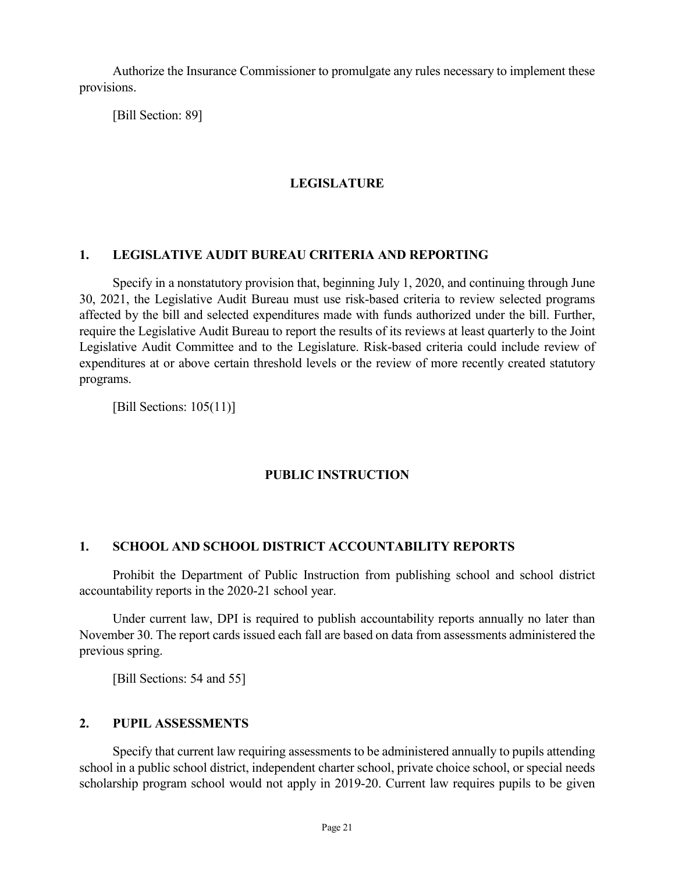Authorize the Insurance Commissioner to promulgate any rules necessary to implement these provisions.

[Bill Section: 89]

#### **LEGISLATURE**

#### **1. LEGISLATIVE AUDIT BUREAU CRITERIA AND REPORTING**

Specify in a nonstatutory provision that, beginning July 1, 2020, and continuing through June 30, 2021, the Legislative Audit Bureau must use risk-based criteria to review selected programs affected by the bill and selected expenditures made with funds authorized under the bill. Further, require the Legislative Audit Bureau to report the results of its reviews at least quarterly to the Joint Legislative Audit Committee and to the Legislature. Risk-based criteria could include review of expenditures at or above certain threshold levels or the review of more recently created statutory programs.

[Bill Sections: 105(11)]

### **PUBLIC INSTRUCTION**

#### **1. SCHOOL AND SCHOOL DISTRICT ACCOUNTABILITY REPORTS**

Prohibit the Department of Public Instruction from publishing school and school district accountability reports in the 2020-21 school year.

Under current law, DPI is required to publish accountability reports annually no later than November 30. The report cards issued each fall are based on data from assessments administered the previous spring.

[Bill Sections: 54 and 55]

#### **2. PUPIL ASSESSMENTS**

Specify that current law requiring assessments to be administered annually to pupils attending school in a public school district, independent charter school, private choice school, or special needs scholarship program school would not apply in 2019-20. Current law requires pupils to be given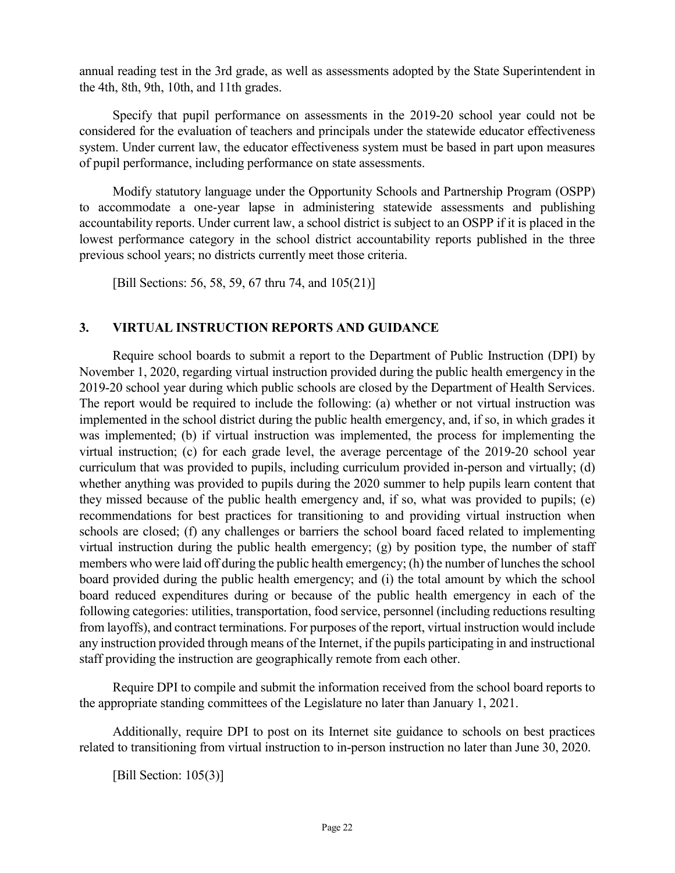annual reading test in the 3rd grade, as well as assessments adopted by the State Superintendent in the 4th, 8th, 9th, 10th, and 11th grades.

Specify that pupil performance on assessments in the 2019-20 school year could not be considered for the evaluation of teachers and principals under the statewide educator effectiveness system. Under current law, the educator effectiveness system must be based in part upon measures of pupil performance, including performance on state assessments.

Modify statutory language under the Opportunity Schools and Partnership Program (OSPP) to accommodate a one-year lapse in administering statewide assessments and publishing accountability reports. Under current law, a school district is subject to an OSPP if it is placed in the lowest performance category in the school district accountability reports published in the three previous school years; no districts currently meet those criteria.

[Bill Sections: 56, 58, 59, 67 thru 74, and 105(21)]

### **3. VIRTUAL INSTRUCTION REPORTS AND GUIDANCE**

Require school boards to submit a report to the Department of Public Instruction (DPI) by November 1, 2020, regarding virtual instruction provided during the public health emergency in the 2019-20 school year during which public schools are closed by the Department of Health Services. The report would be required to include the following: (a) whether or not virtual instruction was implemented in the school district during the public health emergency, and, if so, in which grades it was implemented; (b) if virtual instruction was implemented, the process for implementing the virtual instruction; (c) for each grade level, the average percentage of the 2019-20 school year curriculum that was provided to pupils, including curriculum provided in-person and virtually; (d) whether anything was provided to pupils during the 2020 summer to help pupils learn content that they missed because of the public health emergency and, if so, what was provided to pupils; (e) recommendations for best practices for transitioning to and providing virtual instruction when schools are closed; (f) any challenges or barriers the school board faced related to implementing virtual instruction during the public health emergency; (g) by position type, the number of staff members who were laid off during the public health emergency; (h) the number of lunches the school board provided during the public health emergency; and (i) the total amount by which the school board reduced expenditures during or because of the public health emergency in each of the following categories: utilities, transportation, food service, personnel (including reductions resulting from layoffs), and contract terminations. For purposes of the report, virtual instruction would include any instruction provided through means of the Internet, if the pupils participating in and instructional staff providing the instruction are geographically remote from each other.

Require DPI to compile and submit the information received from the school board reports to the appropriate standing committees of the Legislature no later than January 1, 2021.

Additionally, require DPI to post on its Internet site guidance to schools on best practices related to transitioning from virtual instruction to in-person instruction no later than June 30, 2020.

[Bill Section: 105(3)]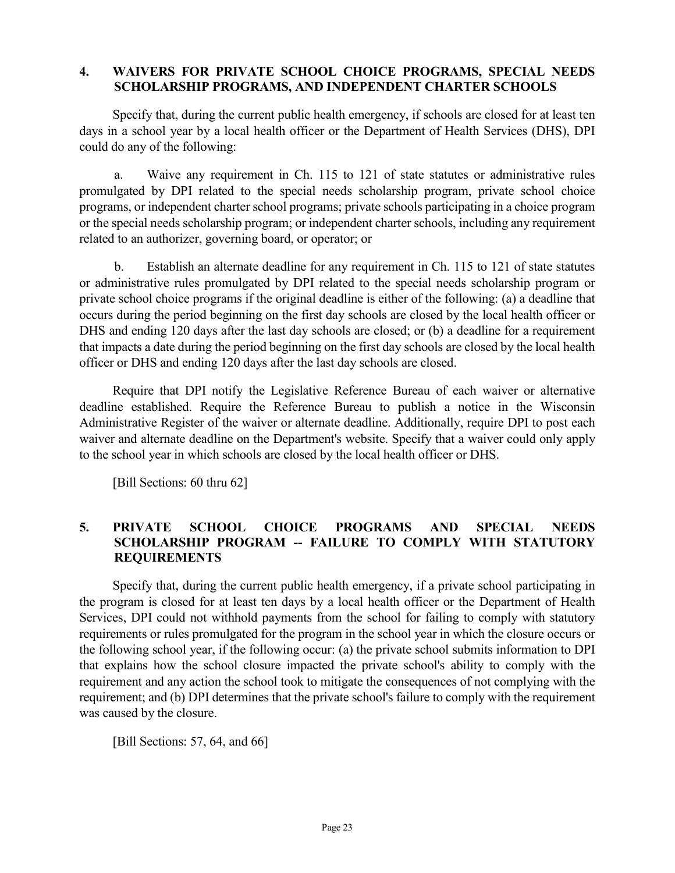#### **4. WAIVERS FOR PRIVATE SCHOOL CHOICE PROGRAMS, SPECIAL NEEDS SCHOLARSHIP PROGRAMS, AND INDEPENDENT CHARTER SCHOOLS**

Specify that, during the current public health emergency, if schools are closed for at least ten days in a school year by a local health officer or the Department of Health Services (DHS), DPI could do any of the following:

a. Waive any requirement in Ch. 115 to 121 of state statutes or administrative rules promulgated by DPI related to the special needs scholarship program, private school choice programs, or independent charter school programs; private schools participating in a choice program or the special needs scholarship program; or independent charter schools, including any requirement related to an authorizer, governing board, or operator; or

b. Establish an alternate deadline for any requirement in Ch. 115 to 121 of state statutes or administrative rules promulgated by DPI related to the special needs scholarship program or private school choice programs if the original deadline is either of the following: (a) a deadline that occurs during the period beginning on the first day schools are closed by the local health officer or DHS and ending 120 days after the last day schools are closed; or (b) a deadline for a requirement that impacts a date during the period beginning on the first day schools are closed by the local health officer or DHS and ending 120 days after the last day schools are closed.

Require that DPI notify the Legislative Reference Bureau of each waiver or alternative deadline established. Require the Reference Bureau to publish a notice in the Wisconsin Administrative Register of the waiver or alternate deadline. Additionally, require DPI to post each waiver and alternate deadline on the Department's website. Specify that a waiver could only apply to the school year in which schools are closed by the local health officer or DHS.

[Bill Sections: 60 thru 62]

### **5. PRIVATE SCHOOL CHOICE PROGRAMS AND SPECIAL NEEDS SCHOLARSHIP PROGRAM -- FAILURE TO COMPLY WITH STATUTORY REQUIREMENTS**

Specify that, during the current public health emergency, if a private school participating in the program is closed for at least ten days by a local health officer or the Department of Health Services, DPI could not withhold payments from the school for failing to comply with statutory requirements or rules promulgated for the program in the school year in which the closure occurs or the following school year, if the following occur: (a) the private school submits information to DPI that explains how the school closure impacted the private school's ability to comply with the requirement and any action the school took to mitigate the consequences of not complying with the requirement; and (b) DPI determines that the private school's failure to comply with the requirement was caused by the closure.

[Bill Sections: 57, 64, and 66]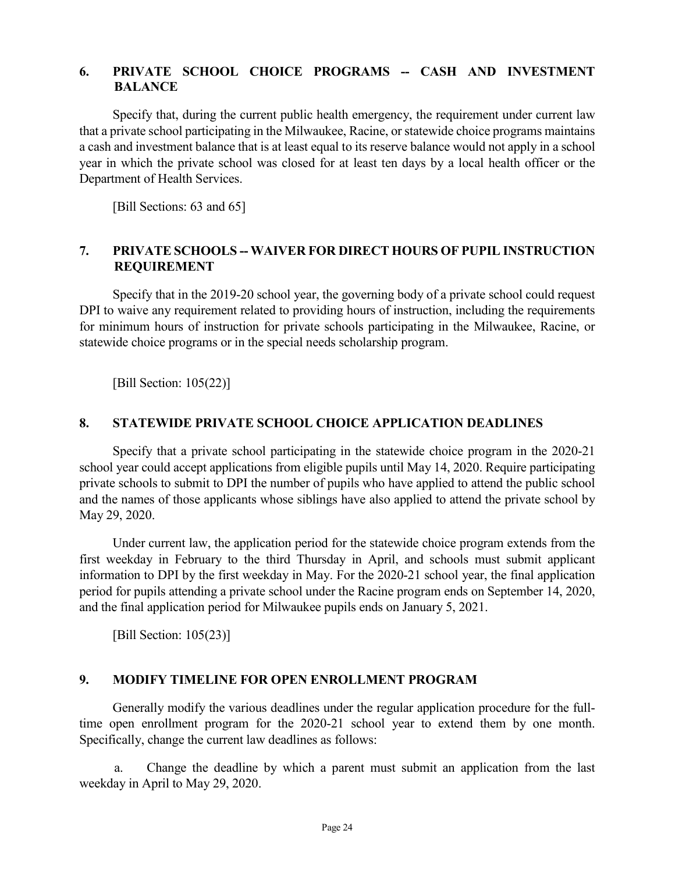#### **6. PRIVATE SCHOOL CHOICE PROGRAMS -- CASH AND INVESTMENT BALANCE**

Specify that, during the current public health emergency, the requirement under current law that a private school participating in the Milwaukee, Racine, or statewide choice programs maintains a cash and investment balance that is at least equal to its reserve balance would not apply in a school year in which the private school was closed for at least ten days by a local health officer or the Department of Health Services.

[Bill Sections: 63 and 65]

#### **7. PRIVATE SCHOOLS -- WAIVER FOR DIRECT HOURS OF PUPIL INSTRUCTION REQUIREMENT**

Specify that in the 2019-20 school year, the governing body of a private school could request DPI to waive any requirement related to providing hours of instruction, including the requirements for minimum hours of instruction for private schools participating in the Milwaukee, Racine, or statewide choice programs or in the special needs scholarship program.

[Bill Section: 105(22)]

#### **8. STATEWIDE PRIVATE SCHOOL CHOICE APPLICATION DEADLINES**

Specify that a private school participating in the statewide choice program in the 2020-21 school year could accept applications from eligible pupils until May 14, 2020. Require participating private schools to submit to DPI the number of pupils who have applied to attend the public school and the names of those applicants whose siblings have also applied to attend the private school by May 29, 2020.

Under current law, the application period for the statewide choice program extends from the first weekday in February to the third Thursday in April, and schools must submit applicant information to DPI by the first weekday in May. For the 2020-21 school year, the final application period for pupils attending a private school under the Racine program ends on September 14, 2020, and the final application period for Milwaukee pupils ends on January 5, 2021.

[Bill Section: 105(23)]

#### **9. MODIFY TIMELINE FOR OPEN ENROLLMENT PROGRAM**

Generally modify the various deadlines under the regular application procedure for the fulltime open enrollment program for the 2020-21 school year to extend them by one month. Specifically, change the current law deadlines as follows:

a. Change the deadline by which a parent must submit an application from the last weekday in April to May 29, 2020.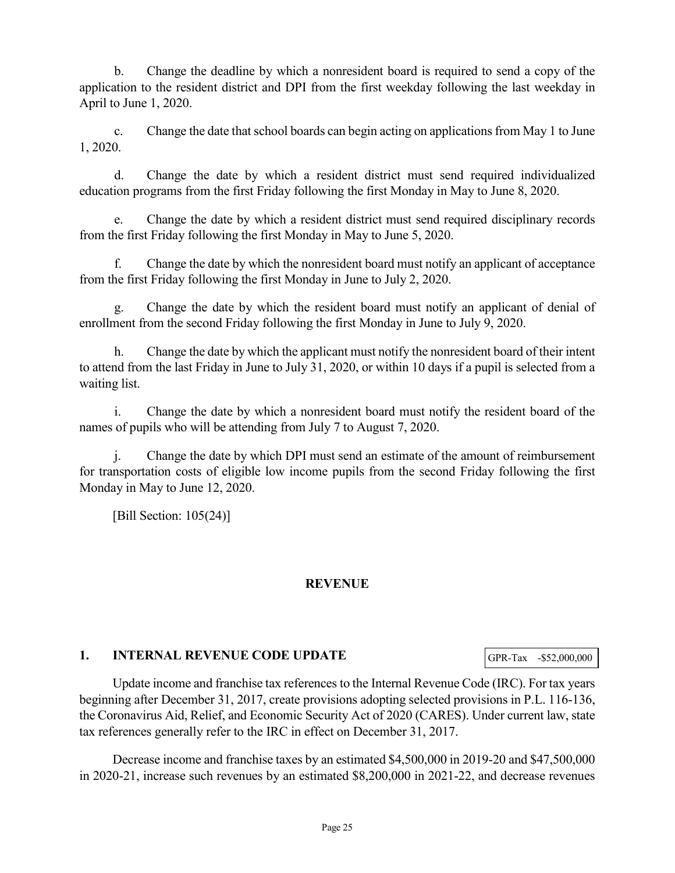b. Change the deadline by which a nonresident board is required to send a copy of the application to the resident district and DPI from the first weekday following the last weekday in April to June 1, 2020.

c. Change the date that school boards can begin acting on applications from May 1 to June 1, 2020.

d. Change the date by which a resident district must send required individualized education programs from the first Friday following the first Monday in May to June 8, 2020.

e. Change the date by which a resident district must send required disciplinary records from the first Friday following the first Monday in May to June 5, 2020.

f. Change the date by which the nonresident board must notify an applicant of acceptance from the first Friday following the first Monday in June to July 2, 2020.

g. Change the date by which the resident board must notify an applicant of denial of enrollment from the second Friday following the first Monday in June to July 9, 2020.

h. Change the date by which the applicant must notify the nonresident board of their intent to attend from the last Friday in June to July 31, 2020, or within 10 days if a pupil is selected from a waiting list.

i. Change the date by which a nonresident board must notify the resident board of the names of pupils who will be attending from July 7 to August 7, 2020.

j. Change the date by which DPI must send an estimate of the amount of reimbursement for transportation costs of eligible low income pupils from the second Friday following the first Monday in May to June 12, 2020.

[Bill Section: 105(24)]

### **REVENUE**

### **1. INTERNAL REVENUE CODE UPDATE**

GPR-Tax -\$52,000,000

Update income and franchise tax references to the Internal Revenue Code (IRC). For tax years beginning after December 31, 2017, create provisions adopting selected provisions in P.L. 116-136, the Coronavirus Aid, Relief, and Economic Security Act of 2020 (CARES). Under current law, state tax references generally refer to the IRC in effect on December 31, 2017.

Decrease income and franchise taxes by an estimated \$4,500,000 in 2019-20 and \$47,500,000 in 2020-21, increase such revenues by an estimated \$8,200,000 in 2021-22, and decrease revenues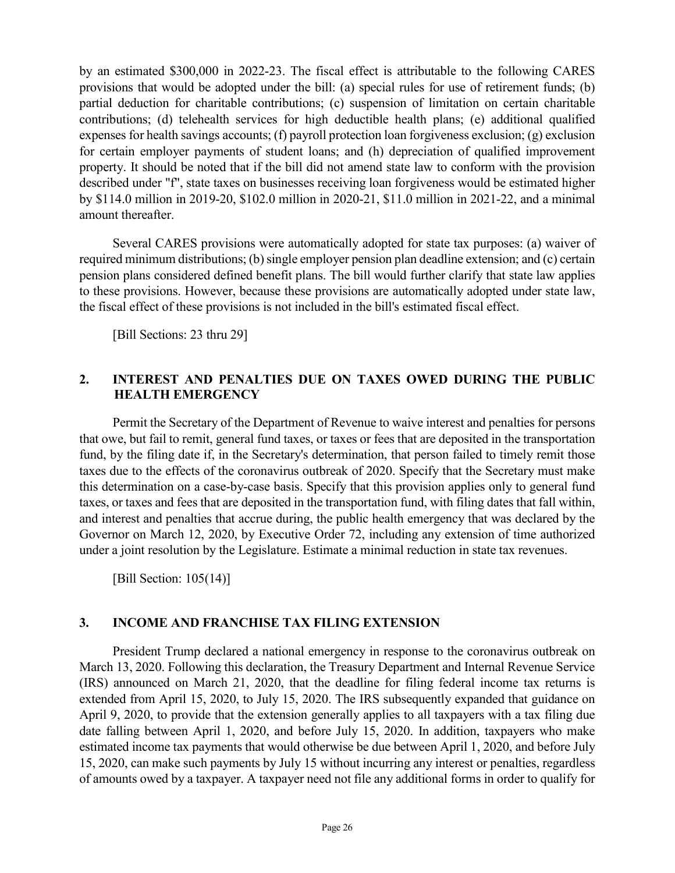by an estimated \$300,000 in 2022-23. The fiscal effect is attributable to the following CARES provisions that would be adopted under the bill: (a) special rules for use of retirement funds; (b) partial deduction for charitable contributions; (c) suspension of limitation on certain charitable contributions; (d) telehealth services for high deductible health plans; (e) additional qualified expenses for health savings accounts; (f) payroll protection loan forgiveness exclusion; (g) exclusion for certain employer payments of student loans; and (h) depreciation of qualified improvement property. It should be noted that if the bill did not amend state law to conform with the provision described under "f", state taxes on businesses receiving loan forgiveness would be estimated higher by \$114.0 million in 2019-20, \$102.0 million in 2020-21, \$11.0 million in 2021-22, and a minimal amount thereafter.

Several CARES provisions were automatically adopted for state tax purposes: (a) waiver of required minimum distributions; (b) single employer pension plan deadline extension; and (c) certain pension plans considered defined benefit plans. The bill would further clarify that state law applies to these provisions. However, because these provisions are automatically adopted under state law, the fiscal effect of these provisions is not included in the bill's estimated fiscal effect.

[Bill Sections: 23 thru 29]

### **2. INTEREST AND PENALTIES DUE ON TAXES OWED DURING THE PUBLIC HEALTH EMERGENCY**

Permit the Secretary of the Department of Revenue to waive interest and penalties for persons that owe, but fail to remit, general fund taxes, or taxes or fees that are deposited in the transportation fund, by the filing date if, in the Secretary's determination, that person failed to timely remit those taxes due to the effects of the coronavirus outbreak of 2020. Specify that the Secretary must make this determination on a case-by-case basis. Specify that this provision applies only to general fund taxes, or taxes and fees that are deposited in the transportation fund, with filing dates that fall within, and interest and penalties that accrue during, the public health emergency that was declared by the Governor on March 12, 2020, by Executive Order 72, including any extension of time authorized under a joint resolution by the Legislature. Estimate a minimal reduction in state tax revenues.

[Bill Section: 105(14)]

### **3. INCOME AND FRANCHISE TAX FILING EXTENSION**

President Trump declared a national emergency in response to the coronavirus outbreak on March 13, 2020. Following this declaration, the Treasury Department and Internal Revenue Service (IRS) announced on March 21, 2020, that the deadline for filing federal income tax returns is extended from April 15, 2020, to July 15, 2020. The IRS subsequently expanded that guidance on April 9, 2020, to provide that the extension generally applies to all taxpayers with a tax filing due date falling between April 1, 2020, and before July 15, 2020. In addition, taxpayers who make estimated income tax payments that would otherwise be due between April 1, 2020, and before July 15, 2020, can make such payments by July 15 without incurring any interest or penalties, regardless of amounts owed by a taxpayer. A taxpayer need not file any additional forms in order to qualify for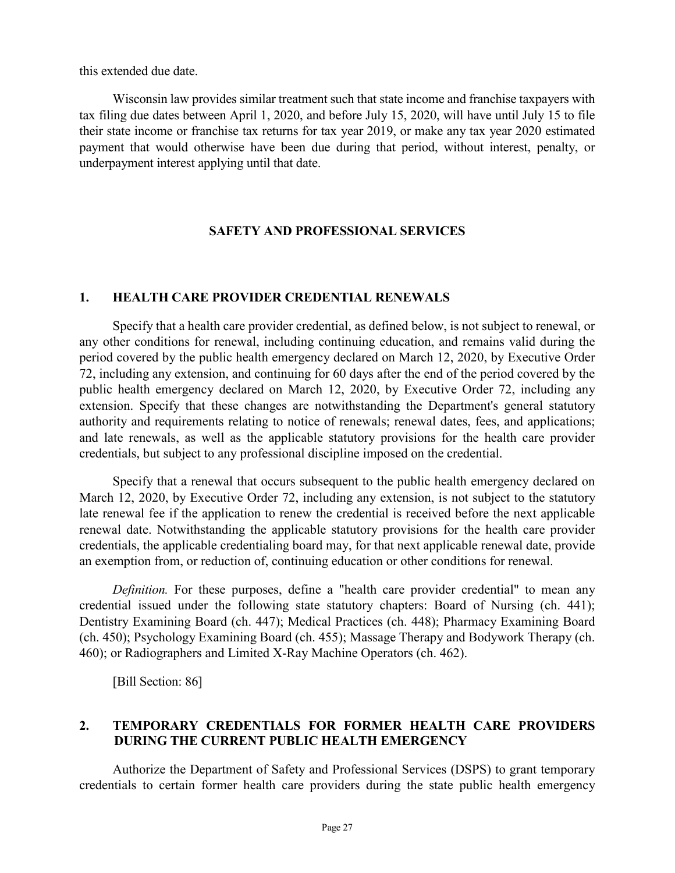this extended due date.

Wisconsin law provides similar treatment such that state income and franchise taxpayers with tax filing due dates between April 1, 2020, and before July 15, 2020, will have until July 15 to file their state income or franchise tax returns for tax year 2019, or make any tax year 2020 estimated payment that would otherwise have been due during that period, without interest, penalty, or underpayment interest applying until that date.

### **SAFETY AND PROFESSIONAL SERVICES**

#### **1. HEALTH CARE PROVIDER CREDENTIAL RENEWALS**

Specify that a health care provider credential, as defined below, is not subject to renewal, or any other conditions for renewal, including continuing education, and remains valid during the period covered by the public health emergency declared on March 12, 2020, by Executive Order 72, including any extension, and continuing for 60 days after the end of the period covered by the public health emergency declared on March 12, 2020, by Executive Order 72, including any extension. Specify that these changes are notwithstanding the Department's general statutory authority and requirements relating to notice of renewals; renewal dates, fees, and applications; and late renewals, as well as the applicable statutory provisions for the health care provider credentials, but subject to any professional discipline imposed on the credential.

Specify that a renewal that occurs subsequent to the public health emergency declared on March 12, 2020, by Executive Order 72, including any extension, is not subject to the statutory late renewal fee if the application to renew the credential is received before the next applicable renewal date. Notwithstanding the applicable statutory provisions for the health care provider credentials, the applicable credentialing board may, for that next applicable renewal date, provide an exemption from, or reduction of, continuing education or other conditions for renewal.

*Definition.* For these purposes, define a "health care provider credential" to mean any credential issued under the following state statutory chapters: Board of Nursing (ch. 441); Dentistry Examining Board (ch. 447); Medical Practices (ch. 448); Pharmacy Examining Board (ch. 450); Psychology Examining Board (ch. 455); Massage Therapy and Bodywork Therapy (ch. 460); or Radiographers and Limited X-Ray Machine Operators (ch. 462).

[Bill Section: 86]

### **2. TEMPORARY CREDENTIALS FOR FORMER HEALTH CARE PROVIDERS DURING THE CURRENT PUBLIC HEALTH EMERGENCY**

Authorize the Department of Safety and Professional Services (DSPS) to grant temporary credentials to certain former health care providers during the state public health emergency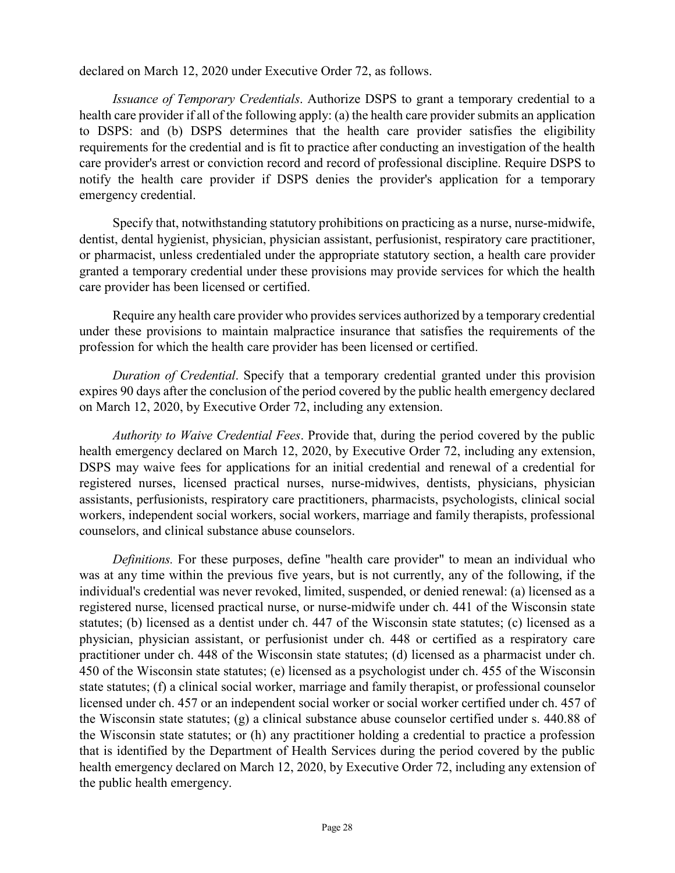declared on March 12, 2020 under Executive Order 72, as follows.

*Issuance of Temporary Credentials*. Authorize DSPS to grant a temporary credential to a health care provider if all of the following apply: (a) the health care provider submits an application to DSPS: and (b) DSPS determines that the health care provider satisfies the eligibility requirements for the credential and is fit to practice after conducting an investigation of the health care provider's arrest or conviction record and record of professional discipline. Require DSPS to notify the health care provider if DSPS denies the provider's application for a temporary emergency credential.

Specify that, notwithstanding statutory prohibitions on practicing as a nurse, nurse-midwife, dentist, dental hygienist, physician, physician assistant, perfusionist, respiratory care practitioner, or pharmacist, unless credentialed under the appropriate statutory section, a health care provider granted a temporary credential under these provisions may provide services for which the health care provider has been licensed or certified.

Require any health care provider who provides services authorized by a temporary credential under these provisions to maintain malpractice insurance that satisfies the requirements of the profession for which the health care provider has been licensed or certified.

*Duration of Credential*. Specify that a temporary credential granted under this provision expires 90 days after the conclusion of the period covered by the public health emergency declared on March 12, 2020, by Executive Order 72, including any extension.

*Authority to Waive Credential Fees*. Provide that, during the period covered by the public health emergency declared on March 12, 2020, by Executive Order 72, including any extension, DSPS may waive fees for applications for an initial credential and renewal of a credential for registered nurses, licensed practical nurses, nurse-midwives, dentists, physicians, physician assistants, perfusionists, respiratory care practitioners, pharmacists, psychologists, clinical social workers, independent social workers, social workers, marriage and family therapists, professional counselors, and clinical substance abuse counselors.

*Definitions.* For these purposes, define "health care provider" to mean an individual who was at any time within the previous five years, but is not currently, any of the following, if the individual's credential was never revoked, limited, suspended, or denied renewal: (a) licensed as a registered nurse, licensed practical nurse, or nurse-midwife under ch. 441 of the Wisconsin state statutes; (b) licensed as a dentist under ch. 447 of the Wisconsin state statutes; (c) licensed as a physician, physician assistant, or perfusionist under ch. 448 or certified as a respiratory care practitioner under ch. 448 of the Wisconsin state statutes; (d) licensed as a pharmacist under ch. 450 of the Wisconsin state statutes; (e) licensed as a psychologist under ch. 455 of the Wisconsin state statutes; (f) a clinical social worker, marriage and family therapist, or professional counselor licensed under ch. 457 or an independent social worker or social worker certified under ch. 457 of the Wisconsin state statutes; (g) a clinical substance abuse counselor certified under s. 440.88 of the Wisconsin state statutes; or (h) any practitioner holding a credential to practice a profession that is identified by the Department of Health Services during the period covered by the public health emergency declared on March 12, 2020, by Executive Order 72, including any extension of the public health emergency.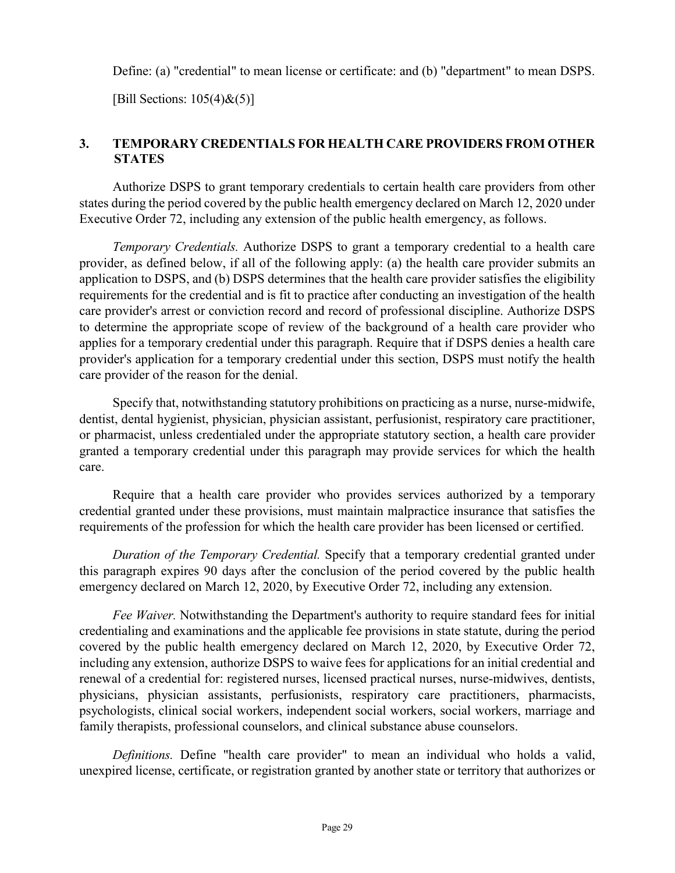Define: (a) "credential" to mean license or certificate: and (b) "department" to mean DSPS.

[Bill Sections:  $105(4)$ & $(5)$ ]

### **3. TEMPORARY CREDENTIALS FOR HEALTH CARE PROVIDERS FROM OTHER STATES**

Authorize DSPS to grant temporary credentials to certain health care providers from other states during the period covered by the public health emergency declared on March 12, 2020 under Executive Order 72, including any extension of the public health emergency, as follows.

*Temporary Credentials.* Authorize DSPS to grant a temporary credential to a health care provider, as defined below, if all of the following apply: (a) the health care provider submits an application to DSPS, and (b) DSPS determines that the health care provider satisfies the eligibility requirements for the credential and is fit to practice after conducting an investigation of the health care provider's arrest or conviction record and record of professional discipline. Authorize DSPS to determine the appropriate scope of review of the background of a health care provider who applies for a temporary credential under this paragraph. Require that if DSPS denies a health care provider's application for a temporary credential under this section, DSPS must notify the health care provider of the reason for the denial.

Specify that, notwithstanding statutory prohibitions on practicing as a nurse, nurse-midwife, dentist, dental hygienist, physician, physician assistant, perfusionist, respiratory care practitioner, or pharmacist, unless credentialed under the appropriate statutory section, a health care provider granted a temporary credential under this paragraph may provide services for which the health care.

Require that a health care provider who provides services authorized by a temporary credential granted under these provisions, must maintain malpractice insurance that satisfies the requirements of the profession for which the health care provider has been licensed or certified.

*Duration of the Temporary Credential.* Specify that a temporary credential granted under this paragraph expires 90 days after the conclusion of the period covered by the public health emergency declared on March 12, 2020, by Executive Order 72, including any extension.

*Fee Waiver.* Notwithstanding the Department's authority to require standard fees for initial credentialing and examinations and the applicable fee provisions in state statute, during the period covered by the public health emergency declared on March 12, 2020, by Executive Order 72, including any extension, authorize DSPS to waive fees for applications for an initial credential and renewal of a credential for: registered nurses, licensed practical nurses, nurse-midwives, dentists, physicians, physician assistants, perfusionists, respiratory care practitioners, pharmacists, psychologists, clinical social workers, independent social workers, social workers, marriage and family therapists, professional counselors, and clinical substance abuse counselors.

*Definitions.* Define "health care provider" to mean an individual who holds a valid, unexpired license, certificate, or registration granted by another state or territory that authorizes or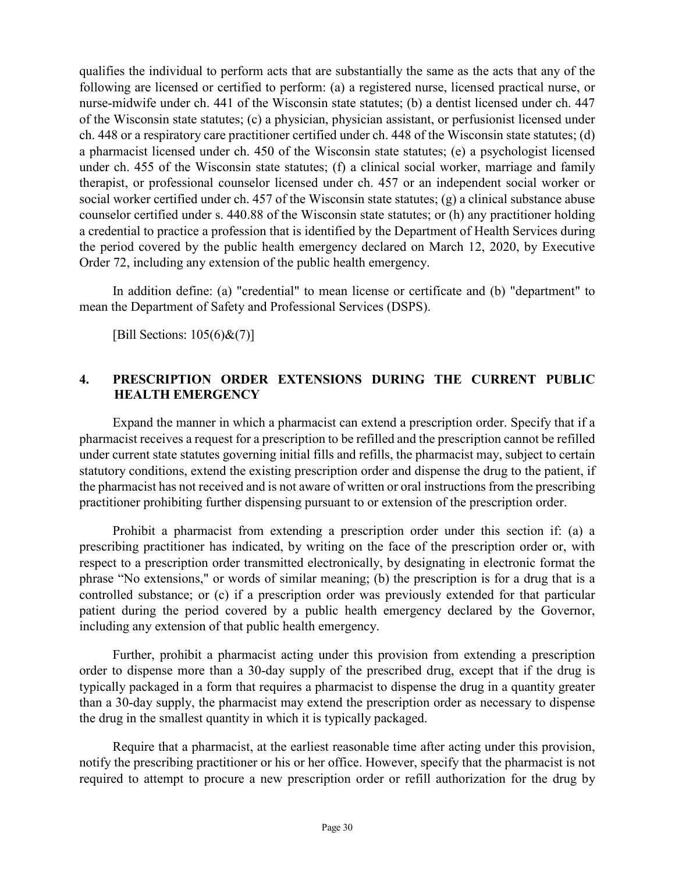qualifies the individual to perform acts that are substantially the same as the acts that any of the following are licensed or certified to perform: (a) a registered nurse, licensed practical nurse, or nurse-midwife under ch. 441 of the Wisconsin state statutes; (b) a dentist licensed under ch. 447 of the Wisconsin state statutes; (c) a physician, physician assistant, or perfusionist licensed under ch. 448 or a respiratory care practitioner certified under ch. 448 of the Wisconsin state statutes; (d) a pharmacist licensed under ch. 450 of the Wisconsin state statutes; (e) a psychologist licensed under ch. 455 of the Wisconsin state statutes; (f) a clinical social worker, marriage and family therapist, or professional counselor licensed under ch. 457 or an independent social worker or social worker certified under ch. 457 of the Wisconsin state statutes; (g) a clinical substance abuse counselor certified under s. 440.88 of the Wisconsin state statutes; or (h) any practitioner holding a credential to practice a profession that is identified by the Department of Health Services during the period covered by the public health emergency declared on March 12, 2020, by Executive Order 72, including any extension of the public health emergency.

In addition define: (a) "credential" to mean license or certificate and (b) "department" to mean the Department of Safety and Professional Services (DSPS).

[Bill Sections:  $105(6)$ &(7)]

### **4. PRESCRIPTION ORDER EXTENSIONS DURING THE CURRENT PUBLIC HEALTH EMERGENCY**

Expand the manner in which a pharmacist can extend a prescription order. Specify that if a pharmacist receives a request for a prescription to be refilled and the prescription cannot be refilled under current state statutes governing initial fills and refills, the pharmacist may, subject to certain statutory conditions, extend the existing prescription order and dispense the drug to the patient, if the pharmacist has not received and is not aware of written or oral instructions from the prescribing practitioner prohibiting further dispensing pursuant to or extension of the prescription order.

Prohibit a pharmacist from extending a prescription order under this section if: (a) a prescribing practitioner has indicated, by writing on the face of the prescription order or, with respect to a prescription order transmitted electronically, by designating in electronic format the phrase "No extensions," or words of similar meaning; (b) the prescription is for a drug that is a controlled substance; or (c) if a prescription order was previously extended for that particular patient during the period covered by a public health emergency declared by the Governor, including any extension of that public health emergency.

Further, prohibit a pharmacist acting under this provision from extending a prescription order to dispense more than a 30-day supply of the prescribed drug, except that if the drug is typically packaged in a form that requires a pharmacist to dispense the drug in a quantity greater than a 30-day supply, the pharmacist may extend the prescription order as necessary to dispense the drug in the smallest quantity in which it is typically packaged.

Require that a pharmacist, at the earliest reasonable time after acting under this provision, notify the prescribing practitioner or his or her office. However, specify that the pharmacist is not required to attempt to procure a new prescription order or refill authorization for the drug by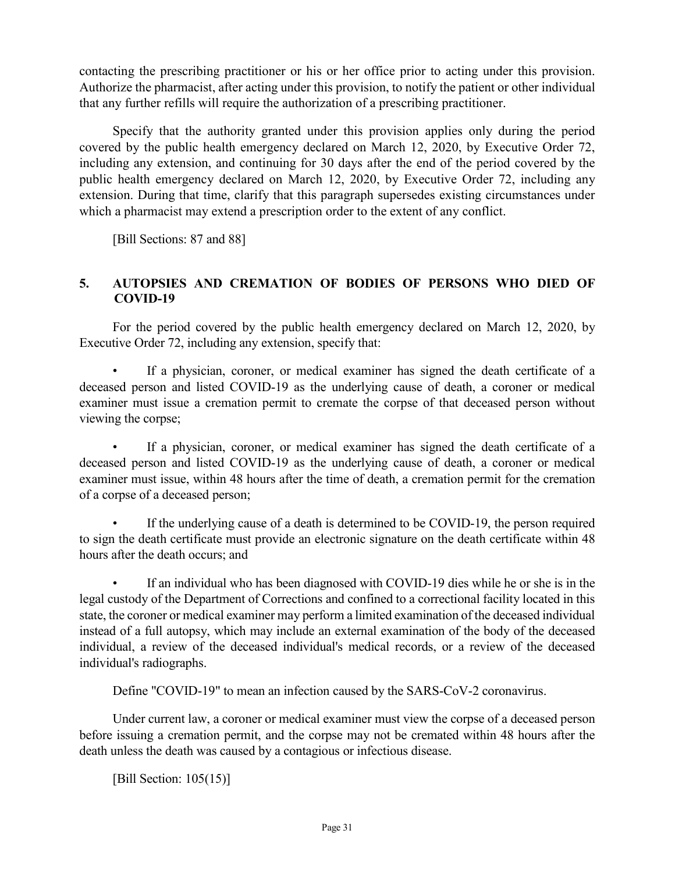contacting the prescribing practitioner or his or her office prior to acting under this provision. Authorize the pharmacist, after acting under this provision, to notify the patient or other individual that any further refills will require the authorization of a prescribing practitioner.

Specify that the authority granted under this provision applies only during the period covered by the public health emergency declared on March 12, 2020, by Executive Order 72, including any extension, and continuing for 30 days after the end of the period covered by the public health emergency declared on March 12, 2020, by Executive Order 72, including any extension. During that time, clarify that this paragraph supersedes existing circumstances under which a pharmacist may extend a prescription order to the extent of any conflict.

[Bill Sections: 87 and 88]

### **5. AUTOPSIES AND CREMATION OF BODIES OF PERSONS WHO DIED OF COVID-19**

For the period covered by the public health emergency declared on March 12, 2020, by Executive Order 72, including any extension, specify that:

If a physician, coroner, or medical examiner has signed the death certificate of a deceased person and listed COVID-19 as the underlying cause of death, a coroner or medical examiner must issue a cremation permit to cremate the corpse of that deceased person without viewing the corpse;

If a physician, coroner, or medical examiner has signed the death certificate of a deceased person and listed COVID-19 as the underlying cause of death, a coroner or medical examiner must issue, within 48 hours after the time of death, a cremation permit for the cremation of a corpse of a deceased person;

If the underlying cause of a death is determined to be COVID-19, the person required to sign the death certificate must provide an electronic signature on the death certificate within 48 hours after the death occurs; and

If an individual who has been diagnosed with COVID-19 dies while he or she is in the legal custody of the Department of Corrections and confined to a correctional facility located in this state, the coroner or medical examiner may perform a limited examination of the deceased individual instead of a full autopsy, which may include an external examination of the body of the deceased individual, a review of the deceased individual's medical records, or a review of the deceased individual's radiographs.

Define "COVID-19" to mean an infection caused by the SARS-CoV-2 coronavirus.

Under current law, a coroner or medical examiner must view the corpse of a deceased person before issuing a cremation permit, and the corpse may not be cremated within 48 hours after the death unless the death was caused by a contagious or infectious disease.

[Bill Section:  $105(15)$ ]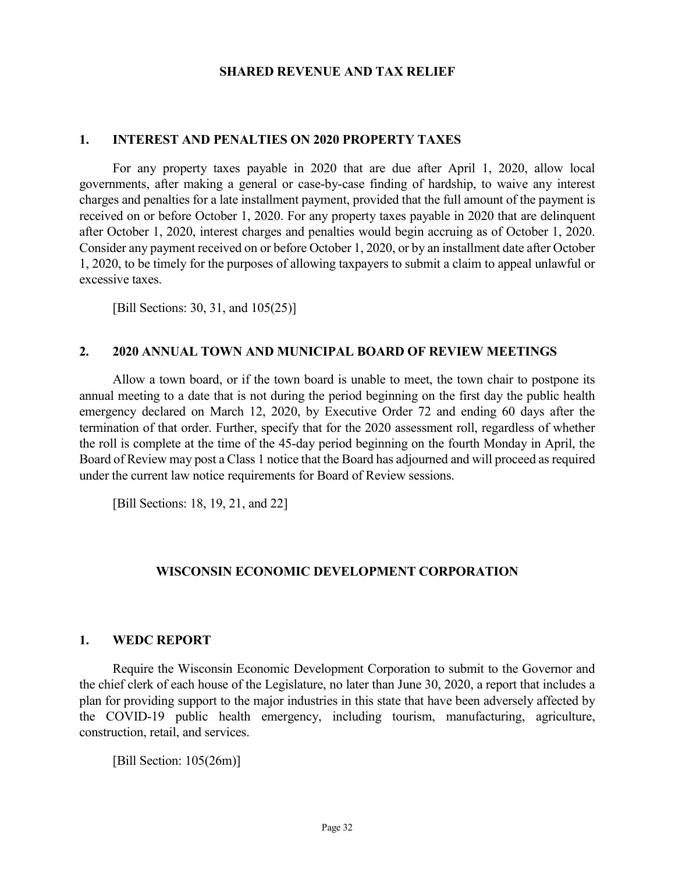#### **SHARED REVENUE AND TAX RELIEF**

#### **1. INTEREST AND PENALTIES ON 2020 PROPERTY TAXES**

For any property taxes payable in 2020 that are due after April 1, 2020, allow local governments, after making a general or case-by-case finding of hardship, to waive any interest charges and penalties for a late installment payment, provided that the full amount of the payment is received on or before October 1, 2020. For any property taxes payable in 2020 that are delinquent after October 1, 2020, interest charges and penalties would begin accruing as of October 1, 2020. Consider any payment received on or before October 1, 2020, or by an installment date after October 1, 2020, to be timely for the purposes of allowing taxpayers to submit a claim to appeal unlawful or excessive taxes.

[Bill Sections: 30, 31, and 105(25)]

#### **2. 2020 ANNUAL TOWN AND MUNICIPAL BOARD OF REVIEW MEETINGS**

Allow a town board, or if the town board is unable to meet, the town chair to postpone its annual meeting to a date that is not during the period beginning on the first day the public health emergency declared on March 12, 2020, by Executive Order 72 and ending 60 days after the termination of that order. Further, specify that for the 2020 assessment roll, regardless of whether the roll is complete at the time of the 45-day period beginning on the fourth Monday in April, the Board of Review may post a Class 1 notice that the Board has adjourned and will proceed as required under the current law notice requirements for Board of Review sessions.

[Bill Sections: 18, 19, 21, and 22]

#### **WISCONSIN ECONOMIC DEVELOPMENT CORPORATION**

#### **1. WEDC REPORT**

Require the Wisconsin Economic Development Corporation to submit to the Governor and the chief clerk of each house of the Legislature, no later than June 30, 2020, a report that includes a plan for providing support to the major industries in this state that have been adversely affected by the COVID-19 public health emergency, including tourism, manufacturing, agriculture, construction, retail, and services.

[Bill Section: 105(26m)]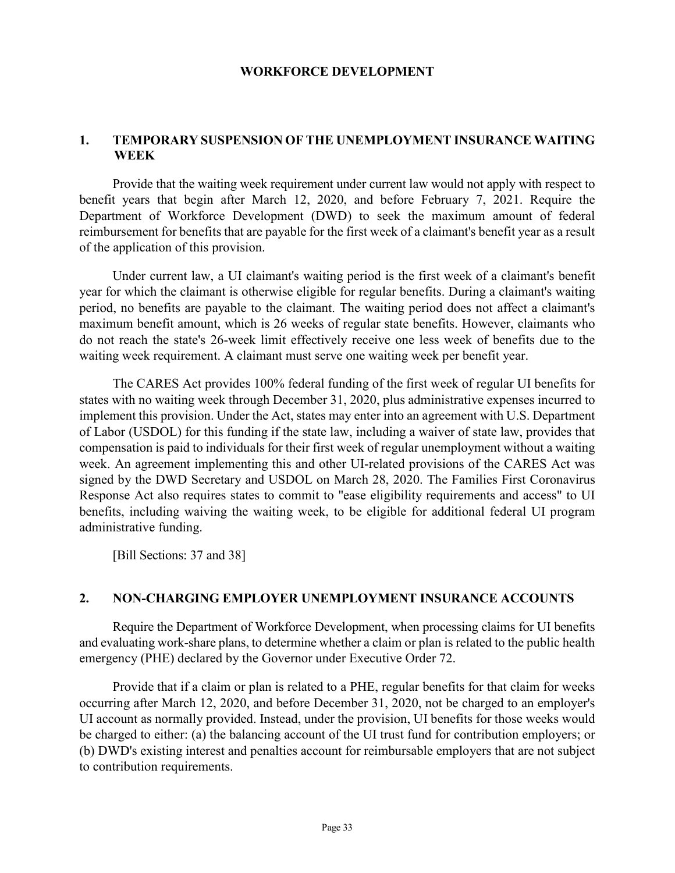#### **WORKFORCE DEVELOPMENT**

#### **1. TEMPORARY SUSPENSION OF THE UNEMPLOYMENT INSURANCE WAITING WEEK**

Provide that the waiting week requirement under current law would not apply with respect to benefit years that begin after March 12, 2020, and before February 7, 2021. Require the Department of Workforce Development (DWD) to seek the maximum amount of federal reimbursement for benefits that are payable for the first week of a claimant's benefit year as a result of the application of this provision.

Under current law, a UI claimant's waiting period is the first week of a claimant's benefit year for which the claimant is otherwise eligible for regular benefits. During a claimant's waiting period, no benefits are payable to the claimant. The waiting period does not affect a claimant's maximum benefit amount, which is 26 weeks of regular state benefits. However, claimants who do not reach the state's 26-week limit effectively receive one less week of benefits due to the waiting week requirement. A claimant must serve one waiting week per benefit year.

The CARES Act provides 100% federal funding of the first week of regular UI benefits for states with no waiting week through December 31, 2020, plus administrative expenses incurred to implement this provision. Under the Act, states may enter into an agreement with U.S. Department of Labor (USDOL) for this funding if the state law, including a waiver of state law, provides that compensation is paid to individuals for their first week of regular unemployment without a waiting week. An agreement implementing this and other UI-related provisions of the CARES Act was signed by the DWD Secretary and USDOL on March 28, 2020. The Families First Coronavirus Response Act also requires states to commit to "ease eligibility requirements and access" to UI benefits, including waiving the waiting week, to be eligible for additional federal UI program administrative funding.

[Bill Sections: 37 and 38]

#### **2. NON-CHARGING EMPLOYER UNEMPLOYMENT INSURANCE ACCOUNTS**

Require the Department of Workforce Development, when processing claims for UI benefits and evaluating work-share plans, to determine whether a claim or plan is related to the public health emergency (PHE) declared by the Governor under Executive Order 72.

Provide that if a claim or plan is related to a PHE, regular benefits for that claim for weeks occurring after March 12, 2020, and before December 31, 2020, not be charged to an employer's UI account as normally provided. Instead, under the provision, UI benefits for those weeks would be charged to either: (a) the balancing account of the UI trust fund for contribution employers; or (b) DWD's existing interest and penalties account for reimbursable employers that are not subject to contribution requirements.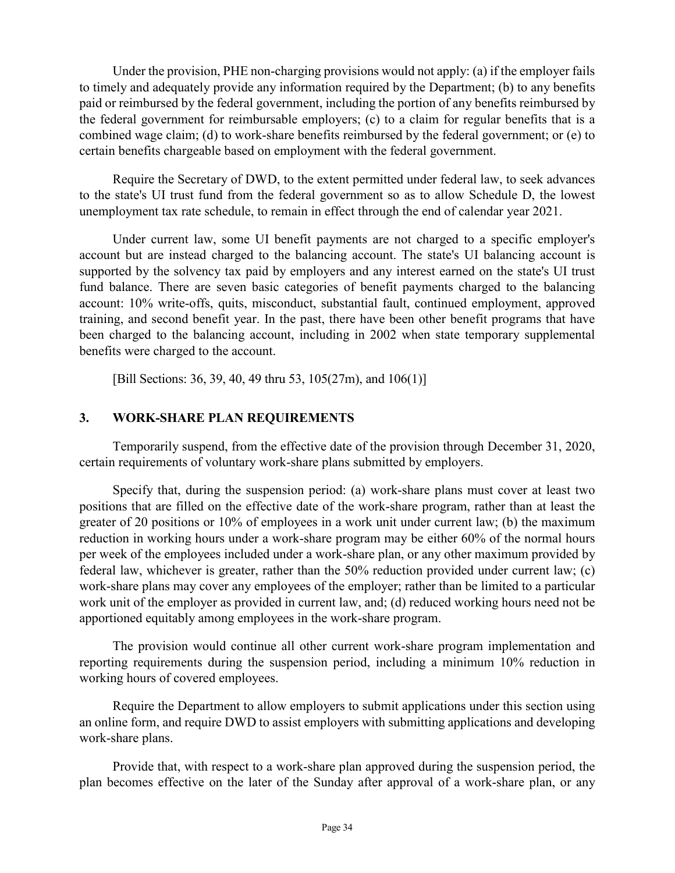Under the provision, PHE non-charging provisions would not apply: (a) if the employer fails to timely and adequately provide any information required by the Department; (b) to any benefits paid or reimbursed by the federal government, including the portion of any benefits reimbursed by the federal government for reimbursable employers; (c) to a claim for regular benefits that is a combined wage claim; (d) to work-share benefits reimbursed by the federal government; or (e) to certain benefits chargeable based on employment with the federal government.

Require the Secretary of DWD, to the extent permitted under federal law, to seek advances to the state's UI trust fund from the federal government so as to allow Schedule D, the lowest unemployment tax rate schedule, to remain in effect through the end of calendar year 2021.

Under current law, some UI benefit payments are not charged to a specific employer's account but are instead charged to the balancing account. The state's UI balancing account is supported by the solvency tax paid by employers and any interest earned on the state's UI trust fund balance. There are seven basic categories of benefit payments charged to the balancing account: 10% write-offs, quits, misconduct, substantial fault, continued employment, approved training, and second benefit year. In the past, there have been other benefit programs that have been charged to the balancing account, including in 2002 when state temporary supplemental benefits were charged to the account.

[Bill Sections: 36, 39, 40, 49 thru 53, 105(27m), and 106(1)]

### **3. WORK-SHARE PLAN REQUIREMENTS**

Temporarily suspend, from the effective date of the provision through December 31, 2020, certain requirements of voluntary work-share plans submitted by employers.

Specify that, during the suspension period: (a) work-share plans must cover at least two positions that are filled on the effective date of the work-share program, rather than at least the greater of 20 positions or 10% of employees in a work unit under current law; (b) the maximum reduction in working hours under a work-share program may be either 60% of the normal hours per week of the employees included under a work-share plan, or any other maximum provided by federal law, whichever is greater, rather than the 50% reduction provided under current law; (c) work-share plans may cover any employees of the employer; rather than be limited to a particular work unit of the employer as provided in current law, and; (d) reduced working hours need not be apportioned equitably among employees in the work-share program.

The provision would continue all other current work-share program implementation and reporting requirements during the suspension period, including a minimum 10% reduction in working hours of covered employees.

Require the Department to allow employers to submit applications under this section using an online form, and require DWD to assist employers with submitting applications and developing work-share plans.

Provide that, with respect to a work-share plan approved during the suspension period, the plan becomes effective on the later of the Sunday after approval of a work-share plan, or any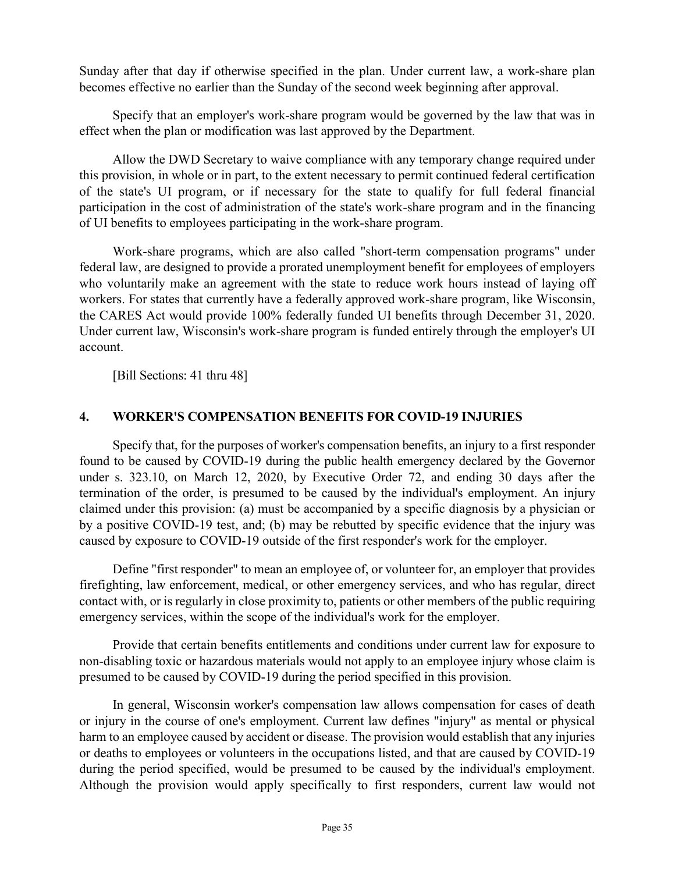Sunday after that day if otherwise specified in the plan. Under current law, a work-share plan becomes effective no earlier than the Sunday of the second week beginning after approval.

Specify that an employer's work-share program would be governed by the law that was in effect when the plan or modification was last approved by the Department.

Allow the DWD Secretary to waive compliance with any temporary change required under this provision, in whole or in part, to the extent necessary to permit continued federal certification of the state's UI program, or if necessary for the state to qualify for full federal financial participation in the cost of administration of the state's work-share program and in the financing of UI benefits to employees participating in the work-share program.

Work-share programs, which are also called "short-term compensation programs" under federal law, are designed to provide a prorated unemployment benefit for employees of employers who voluntarily make an agreement with the state to reduce work hours instead of laying off workers. For states that currently have a federally approved work-share program, like Wisconsin, the CARES Act would provide 100% federally funded UI benefits through December 31, 2020. Under current law, Wisconsin's work-share program is funded entirely through the employer's UI account.

[Bill Sections: 41 thru 48]

### **4. WORKER'S COMPENSATION BENEFITS FOR COVID-19 INJURIES**

Specify that, for the purposes of worker's compensation benefits, an injury to a first responder found to be caused by COVID-19 during the public health emergency declared by the Governor under s. 323.10, on March 12, 2020, by Executive Order 72, and ending 30 days after the termination of the order, is presumed to be caused by the individual's employment. An injury claimed under this provision: (a) must be accompanied by a specific diagnosis by a physician or by a positive COVID-19 test, and; (b) may be rebutted by specific evidence that the injury was caused by exposure to COVID-19 outside of the first responder's work for the employer.

Define "first responder" to mean an employee of, or volunteer for, an employer that provides firefighting, law enforcement, medical, or other emergency services, and who has regular, direct contact with, or is regularly in close proximity to, patients or other members of the public requiring emergency services, within the scope of the individual's work for the employer.

Provide that certain benefits entitlements and conditions under current law for exposure to non-disabling toxic or hazardous materials would not apply to an employee injury whose claim is presumed to be caused by COVID-19 during the period specified in this provision.

In general, Wisconsin worker's compensation law allows compensation for cases of death or injury in the course of one's employment. Current law defines "injury" as mental or physical harm to an employee caused by accident or disease. The provision would establish that any injuries or deaths to employees or volunteers in the occupations listed, and that are caused by COVID-19 during the period specified, would be presumed to be caused by the individual's employment. Although the provision would apply specifically to first responders, current law would not